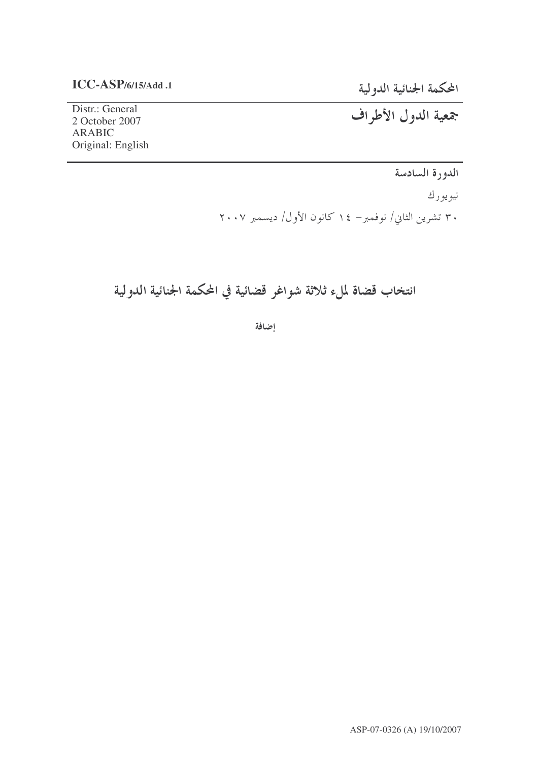### $ICC-ASP/6/15/Add.1$

المحكمة الجنائية الدولية

Distr.: General 2 October 2007 **ARABIC** Original: English جمعية الدول الأطراف

الدورة السادسة

نيويورك ۳۰ تشرین الثاني/ نوفمبر– ۱٤ کانون الأول/ دیسمبر ۲۰۰۷

## انتخاب قضاة لملء ثلاثة شواغر قضائية في المحكمة الجنائية الدولية

إضافة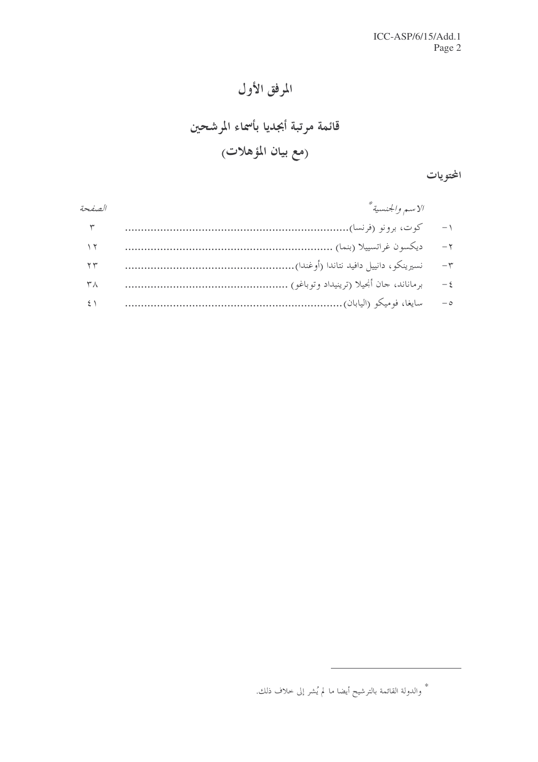## المرفق الأول

# قائمة مرتبة أبجديا بأسماء المرشحين (مع بيان المؤهلات<sub>)</sub>

المحتويات

| الصفحة               | لاسم والجنسية * |          |
|----------------------|-----------------|----------|
| ٣                    |                 | $-1$     |
| ۲ ۱                  |                 | $-\tau$  |
| ۲۳                   |                 | $-\tau$  |
| $\mathsf{r}_\Lambda$ |                 | $-\xi$   |
|                      |                 | $-\circ$ |

<sup>\*</sup> والدولة القائمة بالترشيح أيضا ما لم يُشر إلى خلاف ذلك.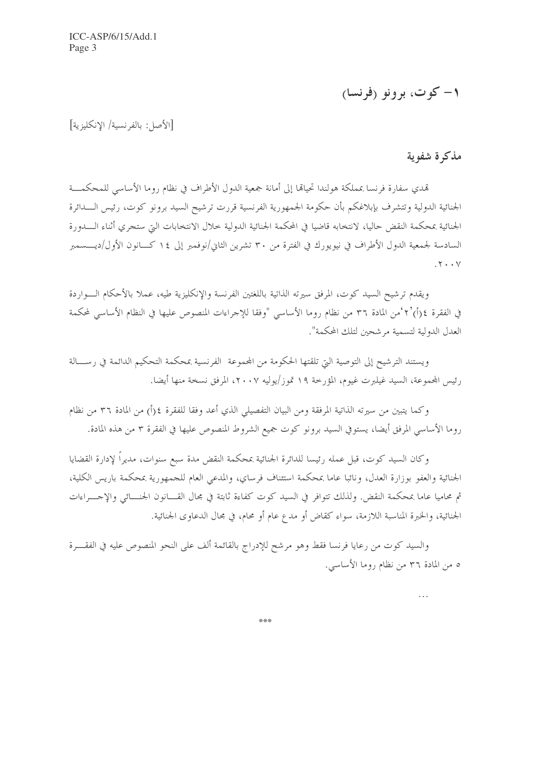## ١- کوټ، برونو (فرنسا)

[الأصل: بالفرنسية/ الانكليزية]

### مذكرة شفوية

 $\ddotsc$ 

تهدي سفارة فرنسا بمملكة هولندا تحيالها إلى أمانة جمعية الدول الأطراف في نظام روما الأساسي للمحكمـــة الجنائية الدولية وتتشرف بإبلاغكم بأن حكومة الجمهورية الفرنسية قررت ترشيح السيد برونو كوت، رئيس الــــدائرة الجنائية بمحكمة النقض حاليا، لانتخابه قاضيا في المحكمة الجنائية الدولية خلال الانتخابات اليت ستجري أثناء الــــدورة السادسة لجمعية الدول الأطراف في نيويو, ك في الفترة من ٣٠ تشرين الثاني/نوفمبر إلى ١٤ كــانون الأول/ديـــسمبر  $\mathbf{y} \cdot \cdot \mathbf{y}$ 

ويقدم ترشيح السيد كوت، المرفق سيرته الذاتية باللغتين الفرنسة والإنكليزية طيه، عملا بالأحكام الـــواردة في الفقرة ٤(أ)'٢°من المادة ٣٦ من نظام روما الأساسي "وفقا للإجراءات المنصوص عليها في النظام الأساسي لمحكمة العدل الدولية لتسمية مر شحين لتلك المحكمة".

ويستند الترشيح إلى التوصية التي تلقتها الحكومة من المجموعة الفرنسية بمحكمة التحكيم الدائمة في رســـالة رئيس المجموعة، السيد غيلبرت غيوم، المؤرخة ١٩ تموز/يوليه ٢٠٠٧، المرفق نسخة منها أيضا.

وكما يتبين من سيرته الذاتية المرفقة ومن البيان التفصيلي الذي أعد وفقا للفقرة ٤(أ) من المادة ٣٦ من نظام روما الأساسي المرفق أيضا، يستوفي السيد برونو كوت جميع الشروط المنصوص عليها في الفقرة ٣ من هذه المادة.

وكان السيد كوت، قبل عمله رئيسا للدائرة الجنائية بمحكمة النقض مدة سبع سنوات، مديراً لإدارة القضايا الجنائية والعفو بوزارة العدل، ونائبا عاما بمحكمة استئناف فرساي، والمدعى العام للجمهورية بمحكمة باريس الكلية، ثم محاميا عاما بمحكمة النقض. ولذلك تتوافر في السيد كوت كفاءة ثابتة في مجال القـــانون الجنـــائي والإجـــراءات الجنائية، والخبرة المناسبة اللازمة، سواء كقاض أو مدع عام أو محام، في مجال الدعاوى الجنائية.

والسيد كوت من رعايا فرنسا فقط وهو مرشح للإدراج بالقائمة ألف على النحو المنصوص عليه في الفقـــرة ٥ من المادة ٣٦ من نظام روما الأساسي.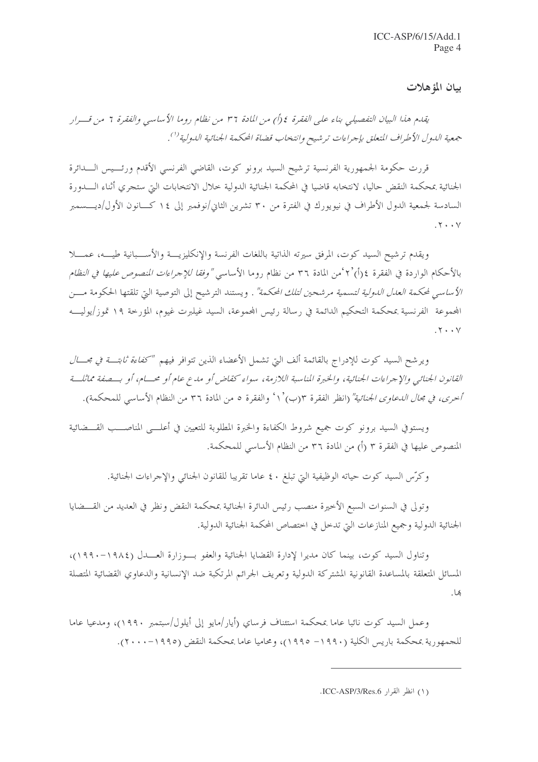بيان المؤهلات

يقدم هذا البيان التفصيلي بناء على الفقرة ٤ (أ) من المادة ٣٦ من نظام روما الأساسي والفقرة ٦ من قـــرار جمعية الدول الأطراف المتعلق بإجراءات ترشيح وانتخاب قضاة المحكمة الجنائية الدولية'''.

قررت حكومة الجمهورية الفرنسية ترشيح السيد برونو كوت، القاضى الفرنسي الأقدم ورئسيس السدائرة الجنائية بمحكمة النقض حاليا، لانتخابه قاضيا في المحكمة الجنائية الدولية خلال الانتخابات التي ستجري أثناء الــــدورة السادسة لجمعية الدول الأطراف في نيويورك في الفترة من ٣٠ تشرين الثاني/نوفمبر إلى ١٤ كــانون الأول/ديــــسمبر  $.7.7$ 

ويقدم ترشيح السيد كوت، المرفق سيرته الذاتية باللغات الفرنسة والإنكليزيـــة والأســـبانية طيـــه، عمـــلا بالأحكام الواردة في الفقرة ٤(أ) ٢°من المادة ٣٦ من نظام , وما الأساسي *"وفقا للإجراءات المنصوص عليها في النظام* الأساسي لمحكمة الع*دل الدولية لتسمية مرشحين لتلك المحكمة"* . ويستند الترشيح إلى التوصية التي تلقتها الحكومة مـــن المجموعة الفرنسية بمحكمة التحكيم الدائمة في رسالة رئيس المجموعة، السيد غيلبرت غيوم، المؤرخة ١٩ تموز/يوليـــه  $.7 \cdot \cdot \vee$ 

ويرشح السيد كوت للإدراج بالقائمة ألف التي تشمل الأعضاء الذين تتوافر فيهم *"كفاءة ثابتـــة في مجــــال* القانون الجنائبي والإحراءات الجنائية، والخبرة المناسبة اللازمة، سواء كقاض أو مدع عام أو محسام، أو بسصفة مماثلسة أُخرى، في مجا*ل اللحاوي الجنائية"* (انظر الفقرة ٣(ب) ` ١ ' والفقرة ٥ من المادة ٣٦ من النظام الأساسي للمحكمة).

ويستوفي السيد برونو كوت جميع شروط الكفاءة والخبرة المطلوبة للتعيين في أعلـــي المناصـــب القـــضائية المنصوص عليها في الفقرة ٣ (أ) من المادة ٣٦ من النظام الأساسي للمحكمة.

وكرّس السيد كوت حياته الوظيفية التي تبلغ ٤٠ عاما تقريبا للقانون الجنائبي والإجراءات الجنائية.

وتولى في السنوات السبع الأخيرة منصب رئيس الدائرة الجنائية بمحكمة النقض ونظر في العديد من القـــضايا الجنائية الدولية وجميع المنازعات التي تدحل في اختصاص المحكمة الجنائية الدولية.

وتناول السيد كوت، بينما كان مديرا لإدارة القضايا الجنائية والعفو بسوزارة العسدل (١٩٨٤–١٩٩٠)، المسائل المتعلقة بالمساعدة القانونية المشتركة الدولية وتعريف الجرائم المرتكبة ضد الإنسانية والدعاوي القضائية المتصلة ھا .

وعمل السيد كوت نائبا عاما بمحكمة استئناف فرساي (أيار/مايو إلى أيلول/سبتمبر ١٩٩٠)، ومدعيا عاما للجمهورية بمحكمة باريس الكلية (١٩٩٠– ١٩٩٥)، ومحاميا عاما بمحكمة النقض (١٩٩٥–٢٠٠٠).

<sup>(</sup>١) انظر القرار ICC-ASP/3/Res.6.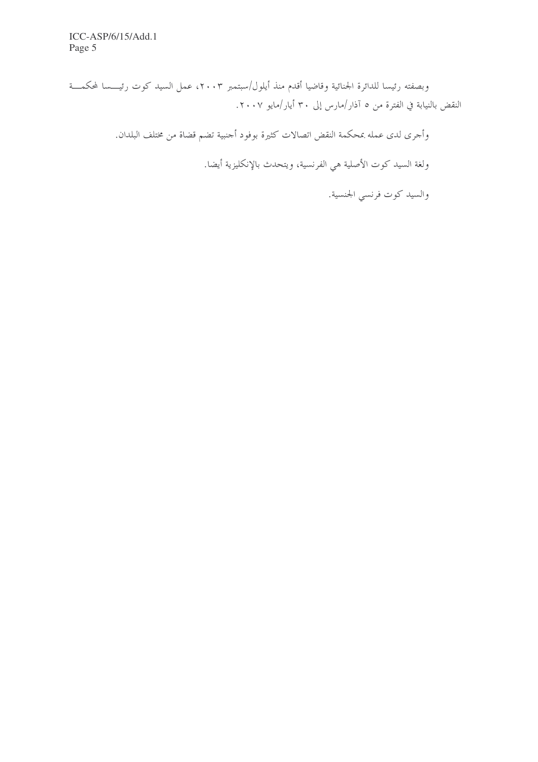وبصفته رئيسا للدائرة الجنائية وقاضيا أقدم منذ أيلول/سبتمبر ٢٠٠٣، عمل السيد كوت رئيــــسا لمحكمــــة النقض بالنيابة في الفترة من ٥ آذار/مارس إلى ٣٠ أيار/مايو ٢٠٠٧.

وأجرى لدى عمله بمحكمة النقض اتصالات كثيرة بوفود أجنبية تضم قضاة من مختلف البلدان.

ولغة السيد كوت الأصلية هي الفرنسية، ويتحدث بالإنكليزية أيضا.

والسيد كوت فرنسي الجنسية.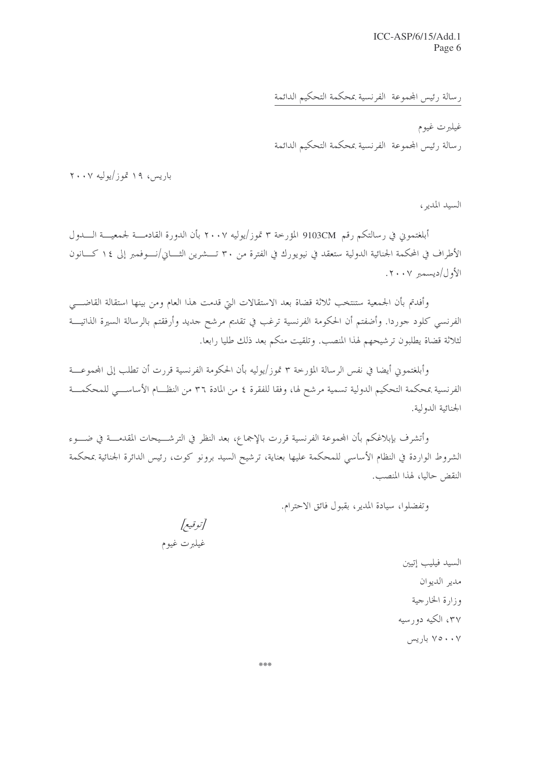رسالة رئيس المحموعة الفرنسية بمحكمة التحكيم الدائمة

غيلبرت غيوم رسالة رئيس المحموعة الفرنسية بمحكمة التحكيم الدائمة

باریس، ۱۹ تموز/یولیه ۲۰۰۷

السيد المدير،

أبلغتمون في رسالتكم رقم 9103CM المؤرخة ٣ تموز/يوليه ٢٠٠٧ بأن الدورة القادمـــة لجمعيـــة الــــدول الأطراف في المحكمة الجنائية الدولية ستعقد في نيويورك في الفترة من ٣٠ تـــشرين الثــــاني/نــــوفمبر إلى ١٤ كــــانون  $\langle \cdot, \cdot \rangle$ 

وأفدتم بأن الجمعية ستنتخب ثلاثة قضاة بعد الاستقالات التي قدمت هذا العام ومن بينها استقالة القاضـــي الفرنسي كلود جوردا. وأضفتم أن الحكومة الفرنسية ترغب في تقديم مرشح جديد وأرفقتم بالرسالة السيرة الذاتيـــة لثلاثة قضاة يطلبون ترشيحهم لهذا المنصب. وتلقيت منكم بعد ذلك طليا رابعا.

وأبلغتمون أيضا في نفس الرسالة المؤرخة ٣ تموز/يوليه بأن الحكومة الفرنسية قررت أن تطلب إلى المحموعـــة الفرنسية بمحكمة التحكيم الدولية تسمية مرشح لها، وفقا للفقرة ٤ من المادة ٣٦ من النظـــام الأساســــي للمحكمــــة الجنائية الدولية.

وأتشرف بإبلاغكم بأن المحموعة الفرنسية قررت بالإجماع، بعد النظر في الترشـــيحات المقدمــــة في ضــــوء الشروط الواردة في النظام الأساسي للمحكمة عليها بعناية، ترشيح السيد برونو كوت، رئيس الدائرة الجنائية بمحكمة النقض حاليا، لهذا المنصب.

وتفضلوا، سيادة المدير، بقبول فائق الاحترام.

[توقيع] غيلبرت غيوم

السيد فيليب إتيين مدير الديوان وزارة الخارجية ۳۷، الکیه دو, سبه ۷۰۰۰۷ باریس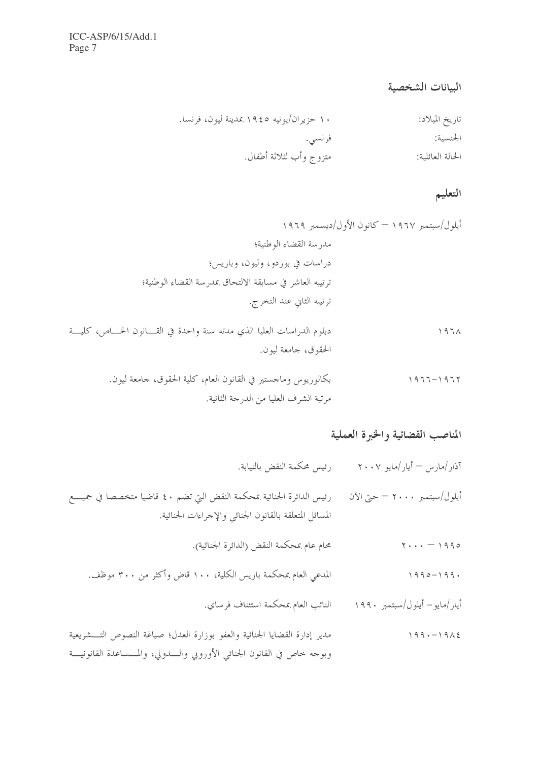## البيانات الشخصية

| تاريخ الميلاد:   | ۱۰ حزیران/یونیه ۱۹٤٥ بمدینة لیون، فرنسا. |
|------------------|------------------------------------------|
| الجنسية:         | فرنسي.                                   |
| الحالة العائلية: | متزوج وأب لثلاثة أطفال.                  |

التعليم

## المناصب القضائية والخبرة العملية

| آذار/مارس <sup>—</sup> أيار/مايو ۲۰۰۷ | رئيس محكمة النقض بالنيابة.                                                                                                       |
|---------------------------------------|----------------------------------------------------------------------------------------------------------------------------------|
| أيلول/سبتمبر ٢٠٠٠ — حتى الآن          | رئيس الدائرة الجنائية بمحكمة النقض التي تضم ٤٠ قاضيا متخصصا في جميـــع<br>المسائل المتعلقة بالقانون الجنائي والإحراءات الجنائية. |
| $\gamma \ldots - \gamma$ 990          | محام عام بمحكمة النقض (الدائرة الجنائية).                                                                                        |
| $1990 - 199.$                         | المدعي العام بمحكمة باريس الكلية، ١٠٠ قاض وأكثر من ٣٠٠ موظف.                                                                     |
| أيار/مايو– أيلول/سبتمبر ١٩٩٠          | النائب العام بمحكمة استئناف فرساي.                                                                                               |
| 199.1916                              | مدن ادارة القضارا الجزاء قروالعف بدن ارتج العداري صراغة الزم رصال مشرورة                                                         |

مدير إدارة القضايا الجنائية والعفو بوزارة العدل؛ صياغة النصوص التــــشريعية  $199 - 1912$ وبوجه حاص في القانون الجنائبي الأوروبي والسدولي، والمـــساعدة القانونيـــة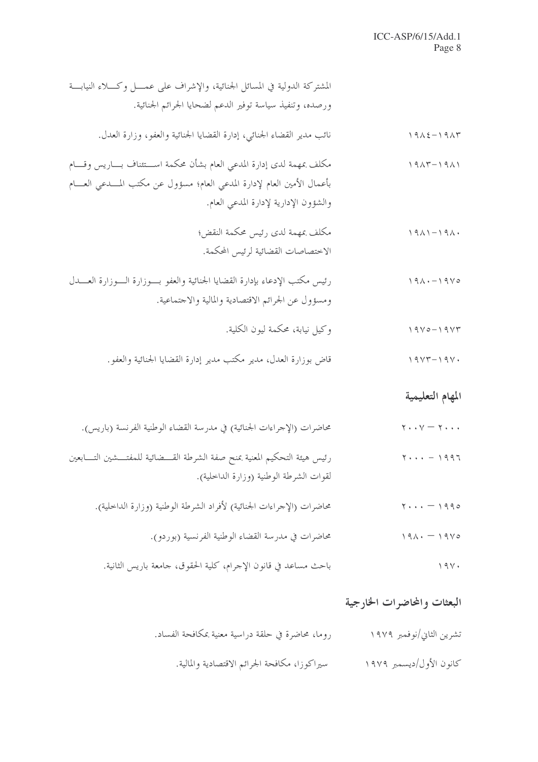| المشتركة الدولية في المسائل الجنائية، والإشراف على عمــــل وكــــلاء النيابــــة<br>ورصده، وتنفيذ سياسة توفير الدعم لضحايا الجرائم الجنائية.                                                       |                                                             |
|----------------------------------------------------------------------------------------------------------------------------------------------------------------------------------------------------|-------------------------------------------------------------|
| نائب مدير القضاء الجنائبي، إدارة القضايا الجنائية والعفو، وزارة العدل.                                                                                                                             | $19\lambda \xi - 19\lambda \tau$                            |
| مكلف بمهمة لدى إدارة المدعى العام بشأن محكمة اســـتئناف بــــاريس وقــــام<br>بأعمال الأمين العام لإدارة المدعى العام؛ مسؤول عن مكتب المــــدعى العــــام<br>والشؤون الإدارية لإدارة المدعى العام. | $1917 - 1911$                                               |
| مكلف بمهمة لدى رئيس محكمة النقض؛<br>الاختصاصات القضائية لرئيس المحكمة.                                                                                                                             | $1911 - 191.$                                               |
| رئيس مكتب الإدعاء بإدارة القضايا الجنائية والعفو بسوزارة السوزارة العسدل<br>ومسؤول عن الجرائم الاقتصادية والمالية والاحتماعية.                                                                     | $191 \cdot -1910$                                           |
| وكيل نيابة، محكمة ليون الكلية.                                                                                                                                                                     | $19V0 - 19V1$                                               |
| قاض بوزارة العدل، مدير مكتب مدير إدارة القضايا الجنائية والعفو.                                                                                                                                    | $19YY-19Y$                                                  |
|                                                                                                                                                                                                    | المهام التعليمية                                            |
| محاضرات (الإحراءات الجنائية) في مدرسة القضاء الوطنية الفرنسة (باريس).                                                                                                                              | $\mathbf{y} \cdot \mathbf{y} = \mathbf{y} \cdot \mathbf{y}$ |
| رئيس هيئة التحكيم المعنية بمنح صفة الشرطة القـــضائية للمفتـــشين التــــابعين<br>لقوات الشرطة الوطنية (وزارة الداحلية).                                                                           | $\mathbf{Y} \cdot \cdot \cdot = 1997$                       |
| محاضرات (الإحراءات الجنائية) لأفراد الشرطة الوطنية (وزارة الداخلية).                                                                                                                               | $\mathbf{y} \cdot \mathbf{y} = 1990$                        |
| محاضرات في مدرسة القضاء الوطنية الفرنسية (بوردو).                                                                                                                                                  | $191. - 1910$                                               |
| باحث مساعد في قانون الإحرام، كلية الحقوق، حامعة باريس الثانية.                                                                                                                                     | 194.                                                        |

## البعثات والمحاضرات الخارجية

| روما، محاضرة في حلقة دراسية معنية بمكافحة الفساد. | تشرين الثاني/نوفمبر ١٩٧٩ |
|---------------------------------------------------|--------------------------|
| سيراكوزا، مكافحة الجرائم الاقتصادية والمالية.     | كانون الأول/ديسمبر ١٩٧٩  |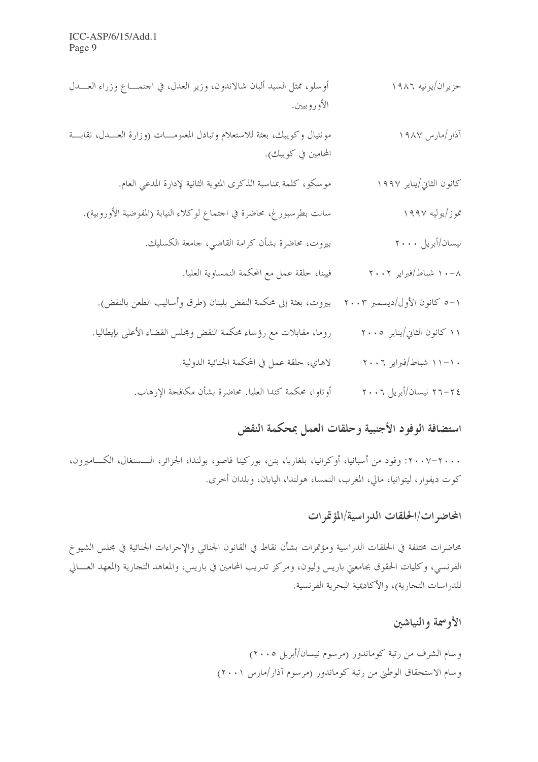- أوسلو، ممثل السيد ألبان شالاندون، وزير العدل، في احتمـــاع وزراء العـــدل حزيران/يونيه ١٩٨٦ الأوروبيين.
- مونتيال وكويبك، بعثة للاستعلام وتبادل المعلومــات (وزارة العـــدل، نقابـــة آذار /مارس ۱۹۸۷ المحامين في كويبكِ).
	- موسكو، كلمة بمناسبة الذكرى المئوية الثانية لإدارة المدعى العام. كانون الثابي/يناير ١٩٩٧
	- سانت بطرسبور غ، محاضرة في احتماع لوكلاء النيابة (المفوضية الأوروبية). تموز/بوليه ١٩٩٧
		- بيروت، محاضرة بشأن كرامة القاضي، جامعة الكسليك. نيسان/أبريل ٢٠٠٠
			- ٠٠٨ شباط/فبراير ٢٠٠٢ فيينا، حلقة عمل مع المحكمة النمساوية العليا.
		- ١–٥ كانون الأول/ديسمبر ٢٠٠٣ بيروت، بعثة إلى محكمة النقض بلبنان (طرق وأساليب الطعن بالنقض).
		- روما، مقابلات مع رؤساء محكمة النقض ومجلس القضاء الأعلى بإيطاليا. ۱۱ کانون الثانی/پنایر ۲۰۰۵
			- لاهاي، حلقة عمل في المحكمة الجنائية الدولية. ۱۱–۱۱ شیاط/فیرایر ۲۰۰۶
			- أوتاوا، محكمة كندا العليا. محاضرة بشأن مكافحة الارهاب. ٢٤–٢٦ نيسان/أبريل ٢٠٠٦

## استضافة الوفود الأجنبية وحلقات العمل بمحكمة النقض

۲۰۰۰–۲۰۰۷: وفود من أسبانيا، أوكرانيا، بلغاريا، بنن، بوركينا فاصو، بولندا، الجزائر، الـــسنغال، الكــــاميرون، كوت ديفوار، ليتوانيا، مالي، المغرب، النمسا، هولندا، اليابان، وبلدان أحرى.

## المحاضر ات/الحلقات الدر اسية/المؤتمر ات

محاضرات مختلفة في الحلقات الدراسية ومؤتمرات بشأن نقاط في القانون الجنائبي والإحراءات الجنائية في مجلس الشيوخ الفرنسي، وكليات الحقوق بجامعتي باريس وليون، ومركز تدريب المحامين في باريس، والمعاهد التجارية (المعهد العسالي للدر اسات التجارية)، والأكاديمية البحرية الفرنسية.

## الأوسحة والنياشين

وسام الشرف من رتبة كوماندور (مرسوم نيسان/أبريل ٢٠٠٥) وسام الاستحقاق الوطني من رتبة كوماندور (مرسوم آذار/مارس ٢٠٠١)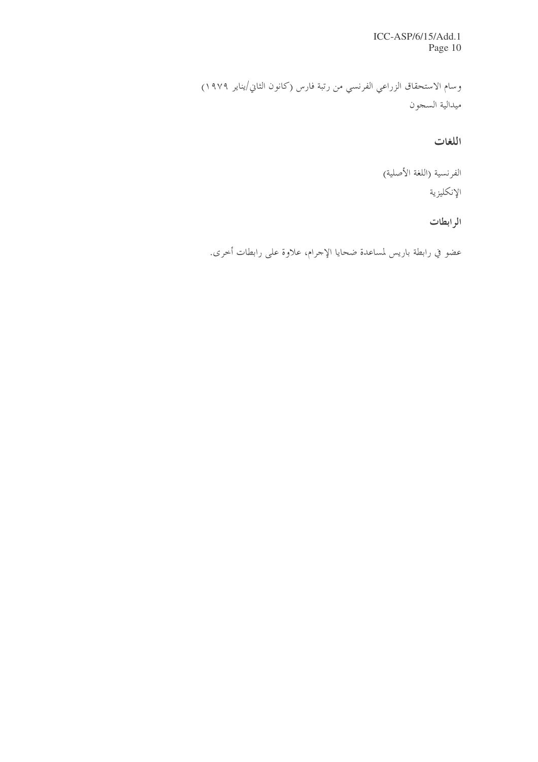ICC-ASP/6/15/Add.1 Page 10

وسام الاستحقاق الزراعي الفرنسي من رتبة فارس (كانون الثاني/يناير ١٩٧٩) ميدالية السجون

اللغات

الفرنسية (اللغة الأصلية) الإنكليزية

الرابطات

عضو في رابطة باريس لمساعدة ضحايا الإجرام، علاوة على رابطات أحرى.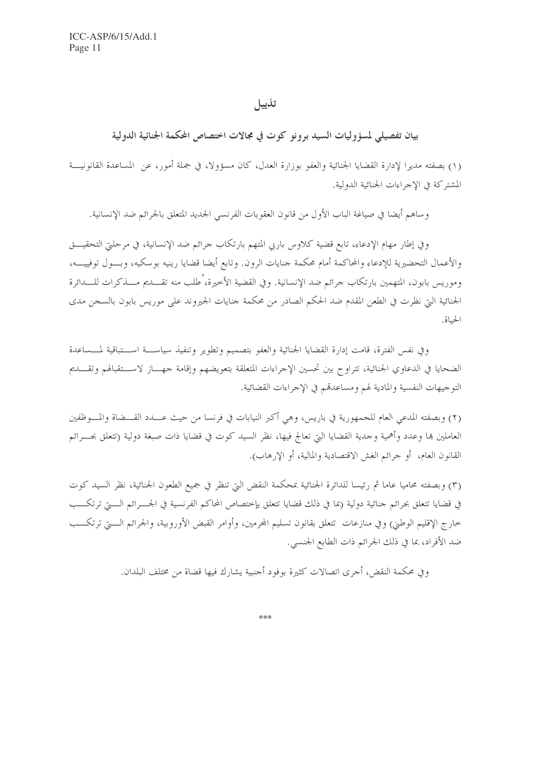#### تذييل

### بيان تفصيلي لمسؤوليات السيد برونو كوت في مجالات اختصاص المحكمة الجنائية الدولية

(١) بصفته مديرًا لإدارة القضايا الجنائية والعفو بوزارة العدل، كان مسؤولًا، في جملة أمور، عن المساعدة القانونيــة المشتركة في الاجراءات الجنائية الدولية.

وساهم أيضا في صياغة الباب الأول من قانون العقوبات الفرنسي الجديد المتعلق بالجرائم ضد الإنسانية.

وفي إطار مهام الإدعاء، تابع قضية كلاوس باربي المتهم بارتكاب جرائم ضد الإنسانية، في مرحلتي التحقيـــق والأعمال التحضيرية للإدعاء والمحاكمة أمام محكمة جنايات الرون. وتابع أيضا قضايا رينيه بوسكيه، وبـــول توفييـــه، وموريس بابون، المتهمين بارتكاب جرائم ضد الإنسانية. وفي القضية الأخيرة، ُطلب منه تقـــديم مـــذكرات للــــدائرة الجنائية التي نظرت في الطعن المقدم ضد الحكم الصادر من محكمة جنايات الجيروند على موريس بابون بالسجن مدى الحياة.

وفي نفس الفترة، قامت إدارة القضايا الجنائية والعفو بتصميم وتطوير وتنفيذ سياســـة اســـتباقية لمـــساعدة الضحايا في الدعاوي الجنائية، تتراوح بين تحسين الإجراءات المتعلقة بتعويضهم وإقامة حهساز لاستقبالهم وتقسديم التوجيهات النفسية والمادية لهم ومساعدقم في الإجراءات القضائية.

(٢) وبصفته المدعى العام للجمهورية في باريس، وهي أكبر النيابات في فرنسا من حيث عـــدد القـــضاة والمـــوظفين العاملين بما وعدد وأهمية وحدية القضايا التي تعالج فيها، نظر السيد كوت في قضايا ذات صبغة دولية (تتعلق بجـــرائم القانون العام، أو حرائم الغش الاقتصادية والمالية، أو الإرهاب).

(٣) وبصفته محاميا عاما ثم رئيسا للدائرة الجنائية بمحكمة النقض التي تنظر في جميع الطعون الجنائية، نظر السيد كوت في قضايا تتعلق بحرائم حنائية دولية (بما في ذلك قضايا تتعلق يإختصاص المحاكم الفرنسية في الجــــرائم الــــتي ترتكــــب حارج الإقليم الوطني) وفي منازعات تتعلق بقانون تسليم المحرمين، وأوامر القبض الأوروبية، والجرائم الـــــتي ترتكــــب ضد الأفراد، بما في ذلك الجرائم ذات الطابع الجنسبي.

وفي محكمة النقض، أحرى اتصالات كثيرة بوفود أحنبية يشارك فيها قضاة من مختلف البلدان.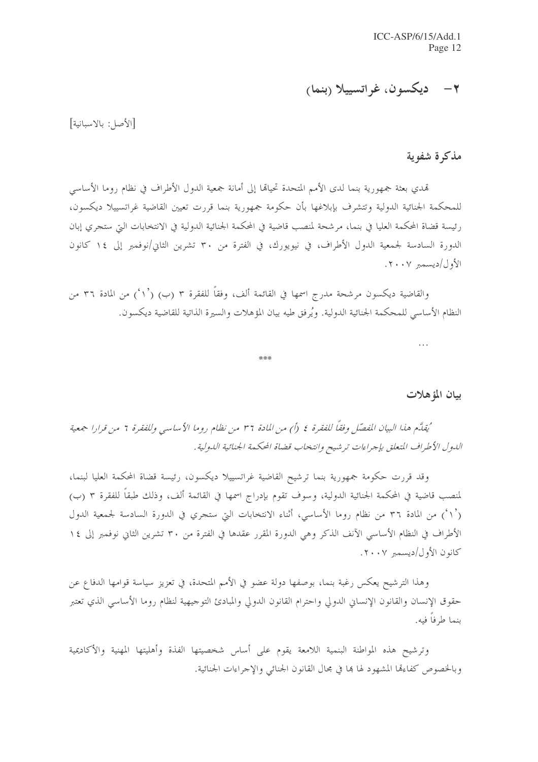## ٢– ديكسون، غراتسييلا (بنما)

[الأصل: بالاسبانية]

### مذكرة شفوية

تمدي بعثة جمهورية بنما لدى الأمم المتحدة تحيالها إلى أمانة جمعية الدول الأطراف في نظام روما الأساسى للمحكمة الجنائية الدولية وتتشرف بإبلاغها بأن حكومة جمهورية بنما قررت تعيين القاضية غراتسييلا ديكسون، رئيسة قضاة المحكمة العليا في بنما، مرشحة لمنصب قاضية في المحكمة الجنائية الدولية في الانتخابات التي ستجري إبان الدورة السادسة لجمعية الدول الأطراف، في نيويورك، في الفترة من ٣٠ تشرين الثاني/نوفمبر إلى ١٤ كانون  $\langle \mathbf{Y} \cdot \mathbf{Y} \rangle$ 

والقاضية ديكسون مرشحة مدرج اسمها في القائمة ألف، وفقاً للفقرة ٣ (ب) (`١`) من المادة ٣٦ من النظام الأساسي للمحكمة الجنائية الدولية. ويُرفق طيه بيان المؤهلات والسيرة الذاتية للقاضية ديكسون.

\*\*\*

| ٠<br>× | $\sim$ | n. |  |
|--------|--------|----|--|
|        |        |    |  |

#### بيان المؤهلات

'يُقِلَّم هذا البيان المُفصِّل وفقاً للفقرة ٤ (أ) من المادة ٣٦ من نظام روما الأساسي وللفقرة ٦ من قرارا جمعية الدول الأطراف المتعلق بإجراءات ترشيح وانتخاب قضاة المحكمة الجنائية الدولية.

وقد قررت حكومة جمهورية بنما ترشيح القاضية غراتسييلا ديكسون، رئيسة قضاة المحكمة العليا لبنما، لمنصب قاضية في المحكمة الجنائية الدولية، وسوف تقوم بإدراج اسمها في القائمة ألف، وذلك طبقاً للفقرة ٣ (ب) (`١`) من المادة ٣٦ من نظام روما الأساسي، أثناء الانتخابات التي ستجري في الدورة السادسة لجمعية الدول الأطراف في النظام الأساسي الآنف الذكر وهي الدورة المقرر عقدها في الفترة من ٣٠ تشرين الثاني نوفمبر إلى ١٤ كانون الأول/ديسمبر ٢٠٠٧.

وهذا الترشيح يعكس رغبة بنما، بوصفها دولة عضو في الأمم المتحدة، في تعزيز سياسة قوامها الدفاع عن حقوق الإنسان والقانون الإنساني الدولي واحترام القانون الدولي والمبادئ التوجيهية لنظام روما الأساسى الذي تعتبر ىنما ط فاً فيه.

وترشيح هذه المواطنة البنمية اللامعة يقوم على أساس شخصيتها الفذة وأهليتها المهنية والأكاديمية وبالخصوص كفاءِها المشهود لها ها في مجال القانون الجنائي والإجراءات الجنائية.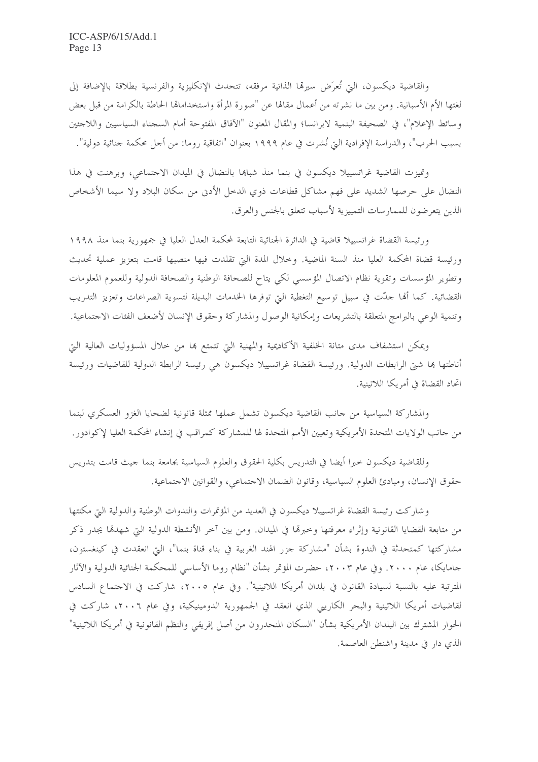والقاضية ديكسون، التي تُعرَض سيرهّا الذاتية مرفقه، تتحدث الإنكليزية والفرنسية بطلاقة بالإضافة إلى لغتها الأم الأسبانية. ومن بين ما نشرته من أعمال مقالها عن "صورة المرأة واستخدامالها الحاطة بالكرامة من قبل بعض وسائط الإعلام"، في الصحيفة البنمية لابرانسا؛ والمقال المعنون "الآفاق المفتوحة أمام السجناء السياسيين واللاجئين بسبب الحرب"، والدراسة الإفرادية التي نُشرت في عام ١٩٩٩ بعنوان "اتفاقية روما: من أجل محكمة جنائية دولية".

وتميزت القاضية غراتسييلا ديكسون في بنما منذ شباها بالنضال في الميدان الاجتماعي، وبرهنت في هذا النضال على حرصها الشديد على فهم مشاكل قطاعات ذوي الدحل الأدن من سكان البلاد ولا سيما الأشخاص الذين يتعرضون للممارسات التمييزية لأسباب تتعلق بالجنس والعرق.

ورئيسة القضاة غراتسييلا قاضية في الدائرة الجنائية التابعة لمحكمة العدل العليا في جمهورية بنما منذ ١٩٩٨ ورئيسة قضاة المحكمة العليا منذ السنة الماضية. وخلال المدة التي تقلدت فيها منصبها قامت بتعزيز عملية تحديث وتطوير المؤسسات وتقوية نظام الاتصال المؤسسي لكي يتاح للصحافة الوطنية والصحافة الدولية وللعموم المعلومات القضائية. كما أُلها حدَّت في سبيل توسيع التغطية التي توفرها الخدمات البديلة لتسوية الصراعات وتعزيز التدريب وتنمية الوعى بالبرامج المتعلقة بالتشريعات وإمكانية الوصول والمشاركة وحقوق الإنسان لأضعف الفئات الاجتماعية.

ويمكن استشفاف مدى متانة الخلفية الأكاديمية والمهنية التي تتمتع بما من حلال المسؤوليات العالية التي أناطتها ها شتى الرابطات الدولية. ورئيسة القضاة غراتسييلا ديكسون هي رئيسة الرابطة الدولية للقاضيات ورئيسة اتحاد القضاة في أمريكا اللاتينية.

والمشاركة السياسية من حانب القاضية ديكسون تشمل عملها ممثلة قانونية لضحايا الغزو العسكري لبنما من جانب الولايات المتحدة الأمريكية وتعيين الأمم المتحدة لها للمشاركة كمراقب في إنشاء المحكمة العليا لإكوادور.

وللقاضية ديكسون حبرا أيضا في التدريس بكلية الحقوق والعلوم السياسية بجامعة بنما حيث قامت بتدريس حقوق الإنسان، ومبادئ العلوم السياسية، وقانون الضمان الاحتماعي، والقوانين الاحتماعية.

وشاركت رئيسة القضاة غراتسييلا ديكسون في العديد من المؤتمرات والندوات الوطنية والدولية التي مكنتها من متابعة القضايا القانونية وإثراء معرفتها وحبرها في الميدان. ومن بين آخر الأنشطة الدولية التي شهدها يجدر ذكر مشاركتها كمتحدثة في الندوة بشأن "مشاركة جزر الهند الغربية في بناء قناة بنما"، التي انعقدت في كينغستون، جامايكا، عام ٢٠٠٠. وفي عام ٢٠٠٣، حضرت المؤتمر بشأن "نظام روما الأساسي للمحكمة الجنائية الدولية والآثار المترتبة عليه بالنسبة لسيادة القانون في بلدان أمريكا اللاتينية". وفي عام ٢٠٠٥، شاركت في الاجتماع السادس لقاضيات أمريكا اللاتينية والبحر الكاريبي الذي انعقد في الجمهورية الدومينيكية، وفي عام ٢٠٠٦، شاركت في الحوار المشترك بين البلدان الأمريكية بشأن "السكان المنحدرون من أصل إفريقي والنظم القانونية في أمريكا اللاتينية" الذي دار في مدينة واشنطن العاصمة.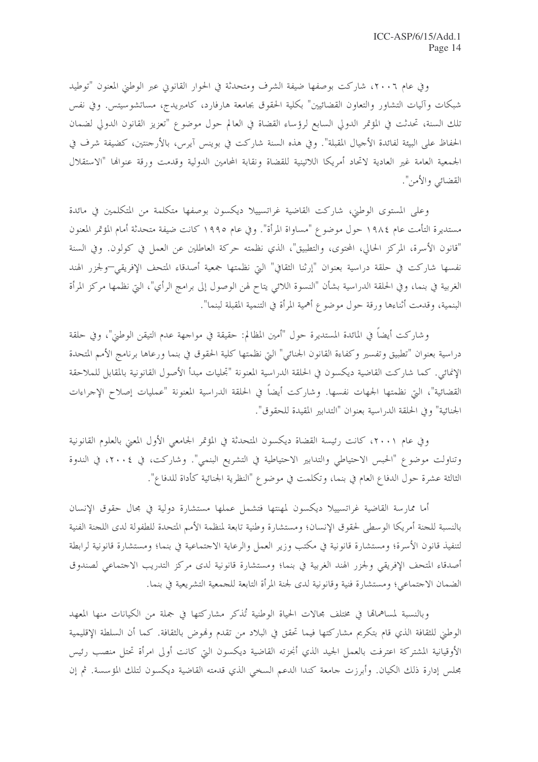وفي عام ٢٠٠٦، شاركت بوصفها ضيفة الشرف ومتحدثة في الحوار القانوين عبر الوطني المعنون "توطيد شبكات وآليات التشاور والتعاون القضائيين" بكلية الحقوق بجامعة هارفارد، كامبريدج، مساتشوسيتس. وفي نفس تلك السنة، تحدثت في المؤتمر الدولي السابع لرؤساء القضاة في العالم حول موضوع "تعزيز القانون الدولي لضمان الحفاظ على البيئة لفائدة الأحيال المقبلة". وفي هذه السنة شاركت في بوينس آيرس، بالأرجنتين، كضيفة شرف في الجمعية العامة غير العادية لاتحاد أمريكا اللاتينية للقضاة ونقابة المحامين الدولية وقدمت ورقة عنوالها "الاستقلال القضائبي والأمن".

وعلى المستوى الوطين، شاركت القاضية غراتسييلا ديكسون بوصفها متكلمة من المتكلمين في مائدة مستديرة التأمت عام ١٩٨٤ حول موضوع "مساواة المرأة". وفي عام ١٩٩٥ كانت ضيفة متحدثة أمام المؤتمر المعنون "قانون الأسرة، المركز الحالي، المحتوى، والتطبيق"، الذي نظمته حركة العاطلين عن العمل في كولون. وفي السنة نفسها شاركت في حلقة دراسية بعنوان "إرثنا الثقافي" التي نظمتها جمعية أصدقاء المتحف الإفريقي—ولجزر الهند الغربية في بنما، وفي الحلقة الدراسية بشأن "النسوة اللائبي يتاح لهن الوصول إلى برامج الرأي"، التي نظمها مركز المرأة البنمية، وقدمت أثناءها ورقة حول موضوع أهمية المرأة في التنمية المقبلة لبنما".

وشاركت أيضاً في المائدة المستديرة حول "أمين المظالم: حقيقة في مواجهة عدم التيقن الوطني"، وفي حلقة دراسية بعنوان "تطبيق وتفسير وكفاءة القانون الجنائي" التي نظمتها كلية الحقوق في بنما ورعاها برنامج الأمم المتحدة الإنمائي. كما شاركت القاضية ديكسون في الحلقة الدراسية المعنونة "تجليات مبدأ الأصول القانونية بالمقابل للملاحقة القضائية"، التي نظمتها الجهات نفسها. وشاركت أيضاً في الحلقة الدراسية المعنونة "عمليات إصلاح الإجراءات الجنائية" وفي الحلقة الدراسية بعنوان "التدابير المقيدة للحقوق".

وفي عام ٢٠٠١، كانت رئيسة القضاة ديكسون المتحدثة في المؤتمر الجامعي الأول المعنى بالعلوم القانونية وتناولت موضوع "الحبس الاحتياطي والتدابير الاحتياطية في التشريع البنمي". وشاركت، في ٢٠٠٤، في الندوة الثالثة عشرة حول الدفاع العام في بنما، وتكلمت في موضوع "النظرية الجنائية كأداة للدفاع".

أما ممارسة القاضية غراتسييلا ديكسون لمهنتها فتشمل عملها مستشارة دولية في مجال حقوق الإنسان بالنسبة للحنة أمريكا الوسطى لحقوق الإنسان؛ ومستشارة وطنية تابعة لمنظمة الأمم المتحدة للطفولة لدى اللحنة الفنية لتنفيذ قانون الأسرة؛ ومستشارة قانونية في مكتب وزير العمل والرعاية الاحتماعية في بنما؛ ومستشارة قانونية لرابطة أصدقاء المتحف الإفريقي ولجزر الهند الغربية في بنما؛ ومستشارة قانونية لدى مركز التدريب الاجتماعي لصندوق الضمان الاجتماعي؛ ومستشارة فنية وقانونية لدى لجنة المرأة التابعة للجمعية التشريعية في بنما.

وبالنسبة لمساهماها في مختلف مجالات الحياة الوطنية تُذكر مشاركتها في جملة من الكيانات منها المعهد الوطني للثقافة الذي قام بتكريم مشاركتها فيما تحقق في البلاد من تقدم ونموض بالثقافة. كما أن السلطة الإقليمية الأوقيانية المشتركة اعترفت بالعمل الجيد الذي أنجزته القاضية ديكسون التي كانت أولى امرأة تحتل منصب رئيس مجلس إدارة ذلك الكيان. وأبرزت جامعة كندا الدعم السخى الذي قدمته القاضية ديكسون لتلك المؤسسة. ثم إن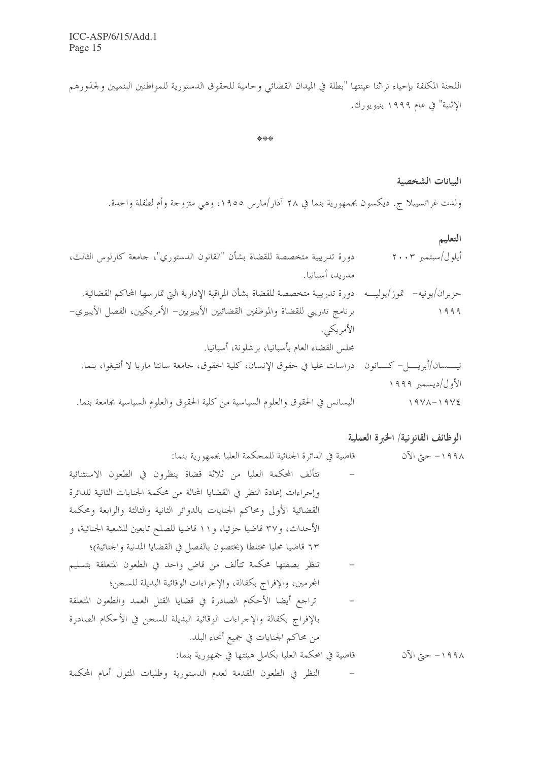اللجنة المكلفة بإحياء تراثنا عينتها "بطلة في الميدان القضائي وحامية للحقوق الدستورية للمواطنين البنميين ولجذورهم الإثنية" في عام ١٩٩٩ بنيويورك.

\*\*\*

البيانات الشخصية ولدت غراتسييلا ج. ديكسون بجمهورية بنما في ٢٨ آذار/مارس ١٩٥٥، وهي متزوجة وأم لطفلة واحدة.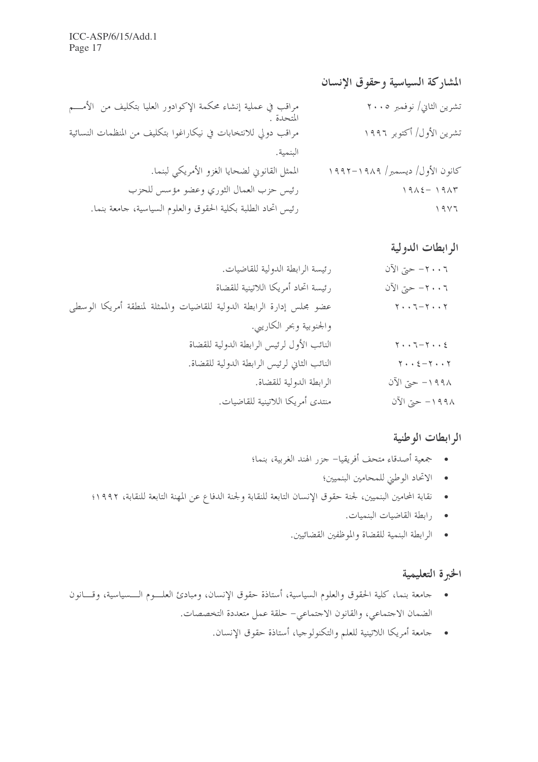المشاركة السياسية وحقوق الإنسان مراقب في عملية إنشاء محكمة الإكوادور العليا بتكليف من الأمـــم تشرين الثاني/ نوفمبر ٢٠٠٥ المتحدة مراقب دولي للانتخابات في نيكاراغوا بتكليف من المنظمات النسائية تشرين الأول/ أكتوبر ١٩٩٦ البنمية. الممثل القانوني لضحايا الغزو الأمريكي لبنما. كانون الأول/ ديسمبر/ ١٩٨٩–١٩٩٢ رئيس حزب العمال الثوري وعضو مؤسس للحزب  $19\lambda \xi - 19\lambda \eta$ رئيس اتحاد الطلبة بكلية الحقوق والعلوم السياسية، جامعة بنما.  $19Y7$ 

### الرابطات الدولية

| ٢٠٠٦ حتى الآن                                               | رئيسة الرابطة الدولية للقاضيات.                                       |
|-------------------------------------------------------------|-----------------------------------------------------------------------|
| ٢٠٠٦ حتى الآن                                               | رئيسة اتحاد أمريكا اللاتينية للقضاة                                   |
| $\mathbf{y} \cdot \mathbf{y} - \mathbf{y} \cdot \mathbf{y}$ | عضو محلس إدارة الرابطة الدولية للقاضيات والممثلة لمنطقة أمريكا الوسطى |
|                                                             | والجنوبية وبحر الكاريبي.                                              |
| $\mathbf{y} \cdot \mathbf{y} - \mathbf{y} \cdot \mathbf{y}$ | النائب الأول لرئيس الرابطة الدولية للقضاة                             |
| $\mathbf{y} \cdot \mathbf{y} = \mathbf{y} \cdot \mathbf{y}$ | النائب الثاني لرئيس الرابطة الدولية للقضاة.                           |
| ١٩٩٨ - حتى الآن                                             | الرابطة الدولية للقضاة.                                               |
| ١٩٩٨ - حتى الآن                                             | منتدى أمريكا اللاتينية للقاضيات.                                      |

#### الرابطات الوطنية

- حجعية أصدقاء متحف أفريقيا– حزر الهند الغربية، بنما؛
	- الاتحاد الوطني للمحامين البنميين؛
- نقابة المحامين البنميين، لجنة حقوق الإنسان التابعة للنقابة ولجنة الدفاع عن المهنة التابعة للنقابة، ١٩٩٢؛
	- رابطة القاضيات البنميات.
	- الرابطة البنمية للقضاة والموظفين القضائيين.

### الخبرة التعليمية

- حامعة بنما، كلية الحقوق والعلوم السياسية، أستاذة حقوق الإنسان، ومبادئ العلـــوم الــــسياسية، وقــــانون الضمان الاجتماعي، والقانون الاجتماعي– حلقة عمل متعددة التخصصات.
	- جامعة أمريكا اللاتينية للعلم والتكنولوجيا، أستاذة حقوق الإنسان.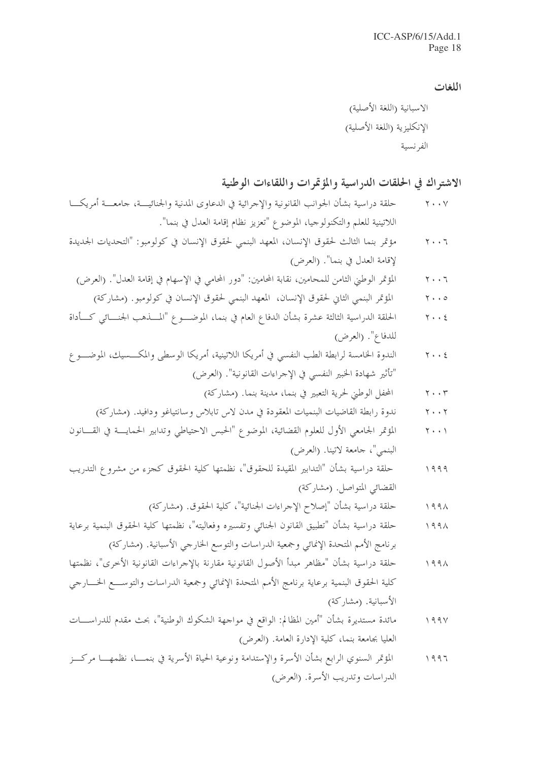اللغات

#### الاشتراك في الحلقات الدراسية والمؤتمرات واللقاءات الوطنية

- حلقة دراسية بشأن الجوانب القانونية والإجرائية في الدعاوى المدنية والجنائيـــة، جامعـــة أمريكـــا  $Y \cdot Y$ اللاتينية للعلم والتكنولوجيا، الموضوع "تعزيز نظام إقامة العدل في بنما".
- مؤتمر بنما الثالث لحقوق الإنسان، المعهد البنمي لحقوق الإنسان في كولومبو: "التحديات الجديدة  $Y \cdot \cdot 7$ لإقامة العدل في بنما". (العرض)
- المؤتمر الوطني الثامن للمحامين، نقابة المحامين: "دور المحامي في الإسهام في إقامة العدل". (العرض)  $Y \cdot \cdot 7$ 
	- المؤتمر البنمي الثان لحقوق الإنسان، المعهد البنمي لحقوق الإنسان في كولومبو. (مشاركة)  $Y \cdot \cdot \circ$
- الحلقة الدراسية الثالثة عشرة بشأن الدفاع العام في بنما، الموضـــوع "المــــذهب الجنــــائي كــــأداة  $Y \cdot \cdot 2$ للدفاع". (العرض)
- الندوة الخامسة لرابطة الطب النفسي في أمريكا اللاتينية، أمريكا الوسطى والمكــــسيك، الموضــــو ع  $Y \cdot \cdot 2$ "تأثير شهادة الخبير النفسي في الإجراءات القانونية". (العرض)
	- المحفل الوطين لحرية التعبير في بنما، مدينة بنما. (مشاركة)  $\mathbf{y} \cdot \cdot \mathbf{r}$
	- ندوة رابطة القاضيات البنميات المعقودة في مدن لاس تابلاس وسانتياغو ودافيد. (مشاركة)  $Y \cdot Y$
- المؤتمر الجامعي الأول للعلوم القضائية، الموضوع "الحبس الاحتياطي وتدابير الحمايـــة في القـــانون  $Y \cdot \cdot Y$ البنمي"، جامعة لاتينا. (العرض)
- حلقة دراسية بشأن "التدابير المقيدة للحقوق"، نظمتها كلية الحقوق كجزء من مشروع التدريب  $1999$ القضائي المتواصل. (مشاركة)
	- حلقة دراسية بشأن "إصلاح الإحراءات الجنائية"، كلية الحقوق. (مشاركة)  $199\lambda$
- حلقة دراسية بشأن "تطبيق القانون الجنائبي وتفسيره وفعاليته"، نظمتها كلية الحقوق البنمية برعاية  $199\lambda$ برنامج الأمم المتحدة الإنمائي وجمعية الدراسات والتوسع الخارجي الأسبانية. (مشاركة)
- حلقة دراسية بشأن "مظاهر مبدأ الأصول القانونية مقارنة بالإجراءات القانونية الأخرى"، نظمتها  $199\lambda$ كلية الحقوق البنمية برعاية برنامج الأمم المتحدة الإنمائي وجمعية الدراسات والتوســـع الخـــارجي الأسبانية. (مشاركة)
- مائدة مستديرة بشأن "أمين المظالم: الواقع في مواجهة الشكوك الوطنية"، بحث مقدم للدراســــات  $199V$ العليا بجامعة بنما، كلية الإدارة العامة. (العرض)
- المؤتمر السنوى الرابع بشأن الأسرة والإستدامة ونوعية الحياة الأسرية في بنمســا، نظمهــــا مركـــز  $1997$ الدراسات وتدريب الأسرة. (العرض)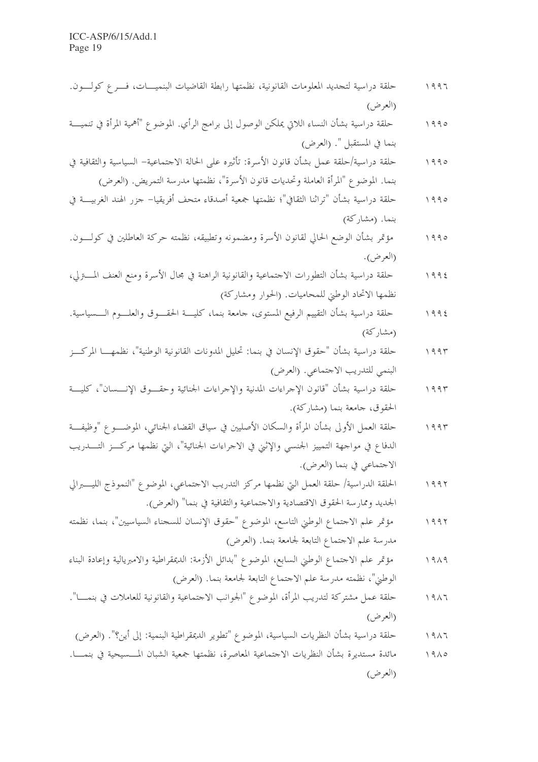- حلقة دراسية لتجديد المعلومات القانونية، نظمتها رابطة القاضيات البنميــــات، فـــرع كولـــون.  $1997$ (العرض)
- حلقة دراسية بشأن النساء اللاتي يملكن الوصول إلى برامج الرأي. الموضوع "أهمية المرأة في تنميــــة  $1990$ بنما في المستقبل ". (العرض)
- حلقة دراسية/حلقة عمل بشأن قانون الأسرة: تأثيره على الحالة الاجتماعية– السياسية والثقافية في  $1990$ بنما. الموضوع "المرأة العاملة وتحديات قانون الأسرة"، نظمتها مدرسة التمريض. (العرض)
- حلقة دراسية بشأن "تراثنا الثقافي"؛ نظمتها جمعية أصدقاء متحف أفريقيا– جزر الهند الغربيــــة في  $1990$ بنما. (مشاركة)
- مؤتمر بشأن الوضع الحالي لقانون الأسرة ومضمونه وتطبيقه، نظمته حركة العاطلين في كولبون.  $1990$ (العرض).
- حلقة دراسية بشأن التطورات الاجتماعية والقانونية الراهنة في مجال الأسرة ومنع العنف المسترلي،  $1995$ نظمها الاتحاد الوطين للمحاميات. (الحوار ومشاركة)
- حلقة دراسية بشأن التقييم الرفيع المستوى، جامعة بنما، كليسة الحقسوق والعلسوم السسياسية.  $1995$ (مشاركة)
- حلقة دراسية بشأن "حقوق الإنسان في بنما: تحليل المدونات القانونية الوطنية"، نظمهــــا المركــــز  $1995$ البنمي للتدريب الاحتماعي. (العرض)
- حلقة دراسية بشأن "قانون الإجراءات المدنية والإجراءات الجنائية وحقسوق الإنسسان"، كلبة  $1995$ الحقوق، جامعة بنما (مشاركة).
- حلقة العمل الأولى بشأن المرأة والسكان الأصليين في سياق القضاء الجنائي، الموضـــوع "وظيفـــة  $1995$ الدفاع في مواجهة التمييز الجنسي والإثني في الاجراءات الجنائية"، التي نظمها مركــز التــــدريب الاجتماعي في بنما (العرض).
- الحلقة الدراسية/ حلقة العمل التي نظمها مركز التدريب الاحتماعي، الموضوع "النموذج الليــــــــــرالي  $1997$ الجديد وممارسة الحقوق الاقتصادية والاحتماعية والثقافية في بنما" (العرض).
- مؤتمر علم الاجتماع الوطني التاسع، الموضوع "حقوق الإنسان للسجناء السياسيين"، بنما، نظمته  $1997$ مدرسة علم الاحتماع التابعة لجامعة بنما. (العرض)
- مؤتمر علم الاحتماع الوطني السابع، الموضوع "بدائل الأزمة: الديمقراطية والامبريالية وإعادة البناء  $1919$ الوطني"، نظمته مدرسة علم الاحتماع التابعة لجامعة بنما. (العرض)
- حلقة عمل مشتركة لتدريب المرأة، الموضوع "الجوانب الاحتماعية والقانونية للعاملات في بنمــــا".  $1917$ (العرض)
- حلقة دراسية بشأن النظريات السياسية، الموضوع "تطوير الديمقراطية البنمية: إلى أين؟". (العرض)  $1917$
- مائدة مستديرة بشأن النظريات الاحتماعية المعاصرة، نظمتها جمعية الشبان المسسيحية في بنمــــا.  $1910$ (العرض)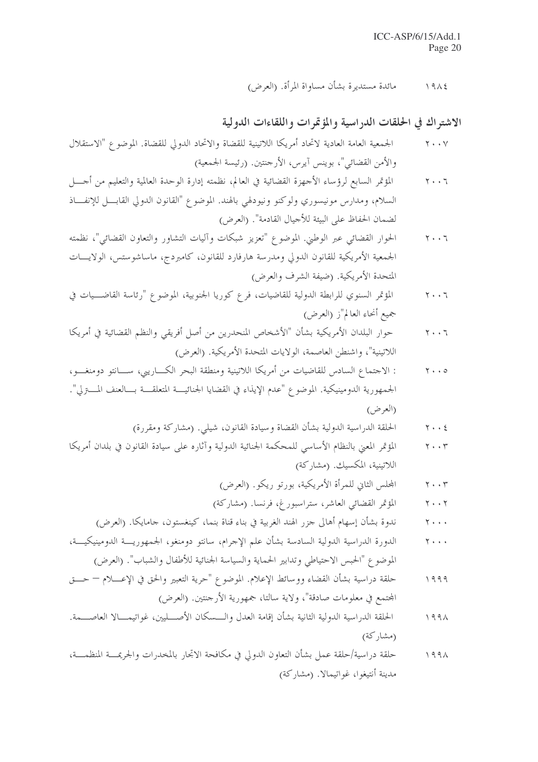مائدة مستديرة بشأن مساواة المرأة. (العرض)  $1912$ 

### الاشتراك في الحلقات الدراسية والمؤتمرات واللقاءات الدولية

- الجمعية العامة العادية لاتحاد أمريكا اللاتينية للقضاة والاتحاد الدولي للقضاة. الموضوع "الاستقلال  $\mathbf{y} \cdot \cdot \mathbf{y}$ والأمن القضائي"، بوينس آيرس، الأرجنتين. (رئيسة الجمعية)
- المؤتمر السابع لرؤساء الأحهزة القضائية في العالم، نظمته إدارة الوحدة العالمية والتعليم من أجـــل  $Y \cdot \cdot 7$ السلام، ومدارس مونيسوري ولوكنو ونيودلهي بالهند. الموضوع "القانون الدولي القابـــل للإنفـــاذ لضمان الحفاظ على البيئة للأجيال القادمة". (العرض)
- الحوار القضائي عبر الوطني. الموضوع "تعزيز شبكات وآليات التشاور والتعاون القضائي"، نظمته  $Y \cdot \cdot 7$ الجمعية الأمريكية للقانون الدولي ومدرسة هارفارد للقانون، كامبردج، ماساشوستس، الولايــات المتحدة الأمريكية. (ضيفة الشرف والعرض)
- المؤتمر السنوي للرابطة الدولية للقاضيات، فرع كوريا الجنوبية، الموضوع "رئاسة القاضـــيات في  $Y \cdot \cdot 7$ جميع أنحاء العالم"ز (العرض)
- حوار البلدان الأمريكية بشأن "الأشخاص المنحدرين من أصل أفريقي والنظم القضائية في أمريكا  $Y \cdot \cdot 7$ اللاتينية"، واشنطن العاصمة، الولايات المتحدة الأمريكية. (العرض)
- : الاجتماع السادس للقاضيات من أمريكا اللاتينية ومنطقة البحر الكـــاريبي، ســـانتو دومنغـــو،  $\gamma \cdot \cdot \circ$ الجمهورية الدومينيكية. الموضوع "عدم الإيذاء في القضايا الجنائيـــة المتعلقـــة بـــالعنف المــــتزلي". (العرض)
	- الحلقة الدراسية الدولية بشأن القضاة وسيادة القانون، شيلي. (مشاركة ومقررة)  $Y \cdot \cdot 2$
- المؤتمر المعني بالنظام الأساسي للمحكمة الجنائية الدولية وآثاره على سيادة القانون في بلدان أمريكا  $Y \cdot \cdot Y$ اللاتينية، المكسيك. (مشاركة)
	- المجلس الثاني للمرأة الأمريكية، بورتو ريكو. (العرض)  $\mathbf{y} \cdot \cdot \mathbf{r}$
	- المؤتمر القضائي العاشر، ستراسبورغ، فرنسا. (مشاركة)  $Y \cdot \cdot Y$
	- ندوة بشأن إسهام أهالي جزر الهند الغربية في بناء قناة بنما، كينغستون، جامايكا. (العرض)  $Y \rightarrow +$
- الدورة الدراسية الدولية السادسة بشأن علم الإجرام، سانتو دومنغو، الجمهوريـــة الدومينيكيـــة،  $Y \rightarrow + +$ الموضوع "الحبس الاحتياطي وتدابير الحماية والسياسة الجنائية للأطفال والشباب". (العرض)
- حلقة دراسية بشأن القضاء ووسائط الإعلام. الموضوع "حرية التعبير والحق في الإعسلام حـــق  $1999$ المحتمع في معلومات صادقة"، ولاية سالتا، جمهورية الأرجنتين. (العرض)
- الحلقة الدراسية الدولية الثانية بشأن إقامة العدل والــسكان الأصـــليين، غواتيمـــالا العاصـــمة.  $199\lambda$ (مشاركة)
- حلقة دراسية/حلقة عمل بشأن التعاون الدولي في مكافحة الاتجار بالمخدرات والجريمـــة المنظمـــة،  $199\lambda$ مدينة أنتيغوا، غواتيمالا. (مشاركة)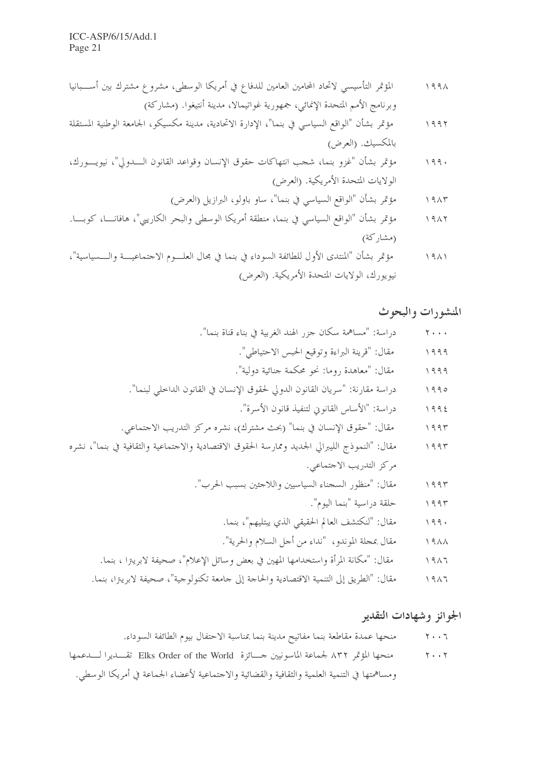ICC-ASP/6/15/Add.1 Page 21

مؤتمر بشأن "غزو بنما، شجب انتهاكات حقوق الإنسان وقواعد القانون الــــدولي"، نيويــــورك،  $199.$ الولايات المتحدة الأمريكية. (العرض)

- مؤتمر بشأن "الواقع السياسي في بنما، منطقة أمريكا الوسطى والبحر الكاريبي"، هافانسا، كوبسا.  $1917$ (مشاركة)
- مؤتمر بشأن "المنتدى الأول للطائفة السوداء في بنما في مجال العلــوم الاجتماعيـــة والـــسياسية"،  $1911$ نيويورك، الولايات المتحدة الأمريكية. (العرض)

#### المنشورات والبحوث

- دراسة: "مساهمة سكان جزر الهند الغربية في بناء قناة بنما".  $Y \cdot \cdot \cdot$ مقال: "قرينة البراءة وتوقيع الحبس الاحتياطي".  $1999$ مقال: "معاهدة , وما: نحو محكمة جنائية دولية".  $1999$ دراسة مقارنة: "سريان القانون الدولي لحقوق الإنسان في القانون الداحلي لبنما".  $1990$ دراسة: "الأساس القانوين لتنفيذ قانون الأسرة".  $1992$ مقال: "حقوق الإنسان في بنما" (بحث مشترك)، نشره مركز التدريب الاجتماعي.  $1995$ مقال: "النموذج الليبرالي الجديد وممارسة الحقوق الاقتصادية والاحتماعية والثقافية في بنما"، نشره  $1995$ مركز التدريب الاجتماعي. مقال: "منظور السجناء السياسيين واللاجئين بسبب الحرب".  $1995$ حلقة دراسية "بنما اليوم".  $1995$ 
	- مقال: "لنكتشف العالم الحقيقي الذي يبتليهم"، بنما.  $199.$
	- مقال بمجلة الموندو، "نداء من أجل السلام والحرية".  $19\AA$
	- مقال: "مكانة المرأة واستخدامها المهين في بعض وسائل الإعلام"، صحيفة لابريترا ، بنما.  $1917$
	- مقال: "الطريق إلى التنمية الاقتصادية والحاجة إلى جامعة تكنولوجية"، صحيفة لابريتزا، بنما.  $1917$

### الجوائز وشهادات التقدير

منحها المؤتمر ٨٣٢ لجماعة الماسونيين جسائزة Elks Order of the World تقــديرا لـــدعمها  $Y \cdot \cdot Y$ ومساهمتها في التنمية العلمية والثقافية والقضائية والاحتماعية لأعضاء الجماعة في أمريكا الوسطى.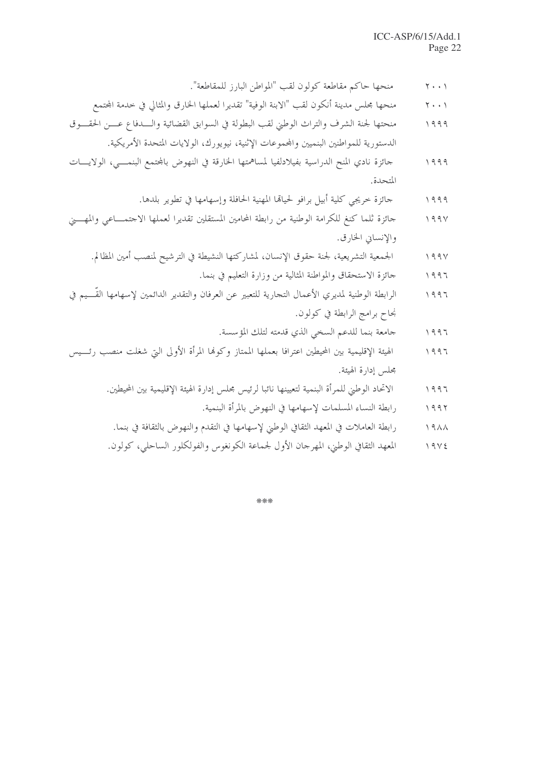- منحها حاكم مقاطعة كولون لقب "المواطن البارز للمقاطعة".  $\gamma \cdot \cdot \gamma$
- منحها مجلس مدينة أنكون لقب "الابنة الوفية" تقديرا لعملها الخارق والمثالي في حدمة المحتمع  $\mathbf{Y} \cdot \cdot \mathbf{Y}$
- منحتها لجنة الشرف والتراث الوطني لقب البطولة في السوابق القضائية والــــدفاع عــــن الحقــــوق  $1999$ الدستورية للمواطنين البنميين والمحموعات الإثنية، نيويورك، الولايات المتحدة الأمريكية.
- جائزة نادي المنح الدراسية بفيلادلفيا لمساهمتها الخارقة في النهوض بالمجتمع البنمسي، الولايسات  $1999$ المتحدة.
	- حائزة خريجي كلية أبيل برافو لحيالها المهنية الحافلة وإسهامها في تطوير بلدها.  $1999$
- جائزة ثلما كنغ للكرامة الوطنية من رابطة المحامين المستقلين تقديرا لعملها الاجتمـــاعي والمهــــني  $199V$ والإنساني الخارق.
	- الجمعية التشريعية، لجنة حقوق الإنسان، لمشاركتها النشيطة في الترشيح لمنصب أمين المظالم.  $199V$ 
		- جائزة الاستحقاق والمواطنة المثالية من وزارة التعليم في بنما.  $1997$
- الرابطة الوطنية لمديري الأعمال التجارية للتعبير عن العرفان والتقدير الدائمين لإسهامها القَّـــيم في  $1997$ نجاح برامج الرابطة في كولون.
	- جامعة بنما للدعم السخى الذي قدمته لتلك المؤسسة.  $1997$
- الهيئة الإقليمية بين المحيطين اعترافا بعملها الممتاز وكوفما المرأة الأولى التي شغلت منصب رئسيس  $\begin{array}{c} \backslash & \backslash \\ \backslash & \backslash \end{array}$ مجلس إدارة الهيئة.
	- الاتحاد الوطني للمرأة البنمية لتعيينها نائبا لرئيس مجلس إدارة الهيئة الإقليمية بين المحيطين.  $1997$ 
		- رابطة النساء المسلمات لإسهامها في النهوض بالمرأة البنمية.  $1997$
	- رابطة العاملات في المعهد الثقافي الوطي لإسهامها في التقدم والنهوض بالثقافة في بنما.  $19\AA$
	- المعهد الثقافي الوطني، المهرجان الأول لجماعة الكونغوس والفولكلور الساحلي، كولون.  $19V5$

\*\*\*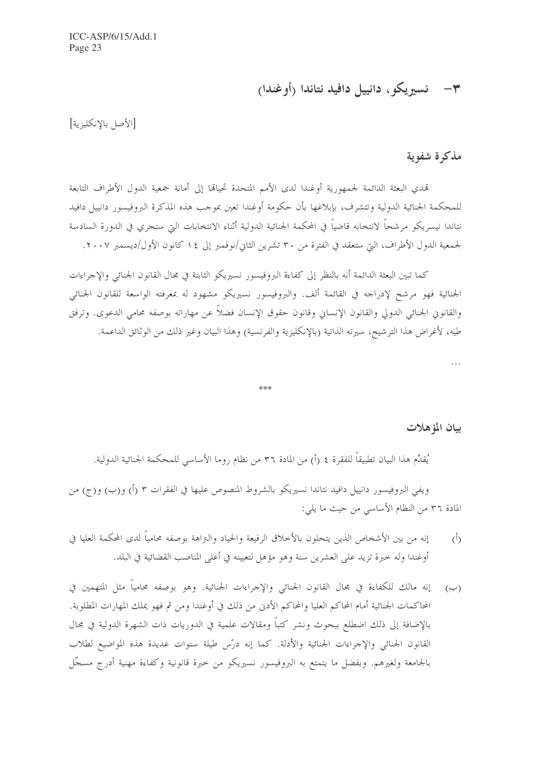ICC-ASP/6/15/Add.1 Page 23

٣- فسيريكو، دانييل دافيد نتاندا (أوغندا)

[الأصل بالإنكليزية]

### مذكرة شفوية

تهدي البعثة الدائمة لجمهورية أوغندا لدى الأمم المتحدة تحياقما إلى أمانة جمعية الدول الأطراف التابعة للمحكمة الجنائية الدولية وتتشرف، بإبلاغها بأن حكومة أوغندا تعين بموحب هذه المذكرة البروفيسور دانييل دافيد نتاندا نيسريكو مرشحاً لانتخابه قاضياً في المحكمة الجنائية الدولية أثناء الانتخابات التي ستجري في الدورة السادسة لجمعية الدول الأطراف، التي ستعقد في الفترة من ٣٠ تشرين الثاني/نوفمبر إلى ١٤ كانون الأول/ديسمبر ٢٠٠٧.

كما تبين البعثة الدائمة أنه بالنظر إلى كفاءة البروفيسور نسيريكو الثابتة في مجال القانون الجنائي والإجراءات الجنائية فهو مرشح لإدراجه في القائمة ألف. والبروفيسور نسيريكو مشهود له بمعرفته الواسعة للقانون الجنائبي والقانوين الجنائي الدولي والقانون الإنساني وقانون حقوق الإنسان فضلاً عن مهاراته بوصفه محامى الدعوى. وترفق طيه، لأغراض هذا الترشيح، سيرته الذاتية (بالإنكليزية والفرنسية) وهذا البيان وغير ذلك من الوثائق الداعمة.

.<br>Na Na Na

#### بيان المؤهلات

 $\dddotsc$ 

يُقدَّم هذا البيان تطبيقاً للفقرة ٤ (أ) من المادة ٣٦ من نظام روما الأساسي للمحكمة الجنائية الدولية.

ويفي البروفيسور دانييل دافيد نتاندا نسيريكو بالشروط المنصوص عليها في الفقرات ٣ (أ) و(ب) و(ج) من المادة ٣٦ من النظام الأساسي من حيث ما يلي:

- إنه من بين الأشخاص الذين يتحلون بالأخلاق الرفيعة والحياد والنزاهة بوصفه محامياً لدى المحكمة العليا في  $(1)$ أوغندا وله خبرة تزيد على العشرين سنة وهو مؤهل لتعيينه في أعلى المناصب القضائية في البلد.
- إنه مالك للكفاءة في مجال القانون الجنائبي والإحراءات الجنائية. وهو بوصفه محامياً مثل المتهمين في  $(\hookrightarrow)$ المحاكمات الجنائية أمام المحاكم العليا والمحاكم الأدبي من ذلك في أوغندا ومن ثم فهو يملك المهارات المطلوبة. بالإضافة إلى ذلك اضطلع ببحوث ونشر كتباً ومقالات علمية في الدوريات ذات الشهرة الدولية في مجال القانون الجنائي والإجراءات الجنائية والأدلة. كما إنه درّس طيلة سنوات عديدة هذه المواضيع لطلاب بالجامعة ولغيرهم. وبفضل ما يتمتع به البروفيسور نسيريكو من حبرة قانونية وكفاءة مهنية أدرج مسجَّل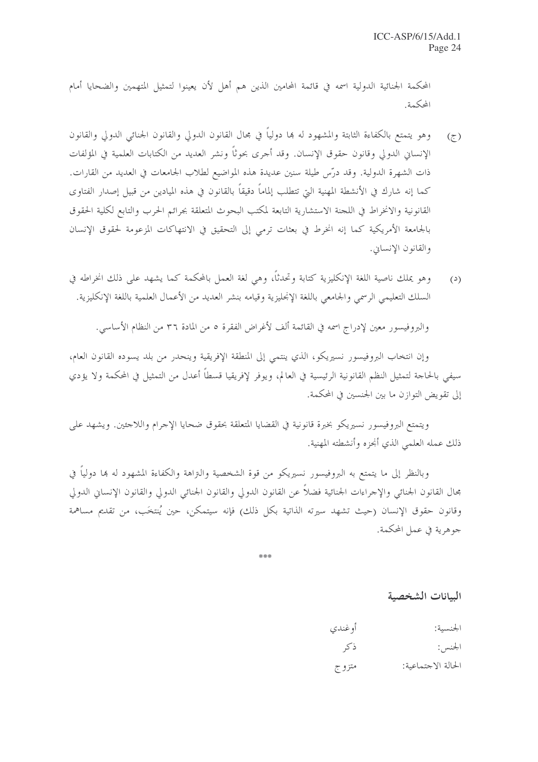المحكمة الجنائية الدولية اسمه في قائمة المحامين الذين هم أهل لأن يعينوا لتمثيل المتهمين والضحايا أمام المحكمة.

- وهو يتمتع بالكفاءة الثابتة والمشهود له ها دولياً في مجال القانون الدولي والقانون الجنائبي الدولي والقانون  $(\tau)$ الإنساني الدولي وقانون حقوق الإنسان. وقد أُجرى بحوثاً ونشر العديد من الكتابات العلمية في المؤلفات ذات الشهرة الدولية. وقد درّس طيلة سنين عديدة هذه المواضيع لطلاب الجامعات في العديد من القارات. كما إنه شارك في الأنشطة المهنية التي تتطلب إلماماً دقيقاً بالقانون في هذه الميادين من قبيل إصدار الفتاوى القانونية والانخراط في اللجنة الاستشارية التابعة لمكتب البحوث المتعلقة بجرائم الحرب والتابع لكلية الحقوق بالجامعة الأمريكية كما إنه انخرط في بعثات ترمى إلى التحقيق في الانتهاكات المزعومة لحقوق الإنسان والقانون الإنساني.
- وهو يملك ناصية اللغة الإنكليزية كتابة وتحدثاً، وهي لغة العمل بالمحكمة كما يشهد على ذلك انخراطه في  $(2)$ السلك التعليمي الرسمي والجامعي باللغة الإنحليزية وقيامه بنشر العديد من الأعمال العلمية باللغة الإنكليزية.

والبروفيسور معين لإدراج اسمه في القائمة ألف لأغراض الفقرة ٥ من المادة ٣٦ من النظام الأساسي.

وإن انتخاب البروفيسور نسيريكو، الذي ينتمي إلى المنطقة الإفريقية وينحدر من بلد يسوده القانون العام، سيفي بالحاحة لتمثيل النظم القانونية الرئيسية في العالم، ويوفر لإفريقيا قسطاً أعدل من التمثيل في المحكمة ولا يؤدي إلى تقويض التوازن ما بين الجنسين في المحكمة.

ويتمتع البروفيسور نسيريكو بخبرة قانونية في القضايا المتعلقة بحقوق ضحايا الإحرام واللاحئين. ويشهد على ذلك عمله العلمي الذي أنجزه وأنشطته المهنية.

وبالنظر إلى ما يتمتع به البروفيسور نسيريكو من قوة الشخصية والتزاهة والكفاءة المشهود له ها دولياً في مجال القانون الجنائي والإحراءات الجنائية فضلاً عن القانون الدولي والقانون الجنائي الدولي والقانون الإنساني الدولي وقانون حقوق الإنسان (حيث تشهد سيرته الذاتية بكل ذلك) فإنه سيتمكن، حين يُنتخَب، من تقديم مساهمة جوهرية في عمل المحكمة.

\*\*\*

#### السانات الشخصية

| الجنسية:           | أوغندي  |
|--------------------|---------|
| الجنس:             | ذكر     |
| الحالة الاحتماعية: | متز و ج |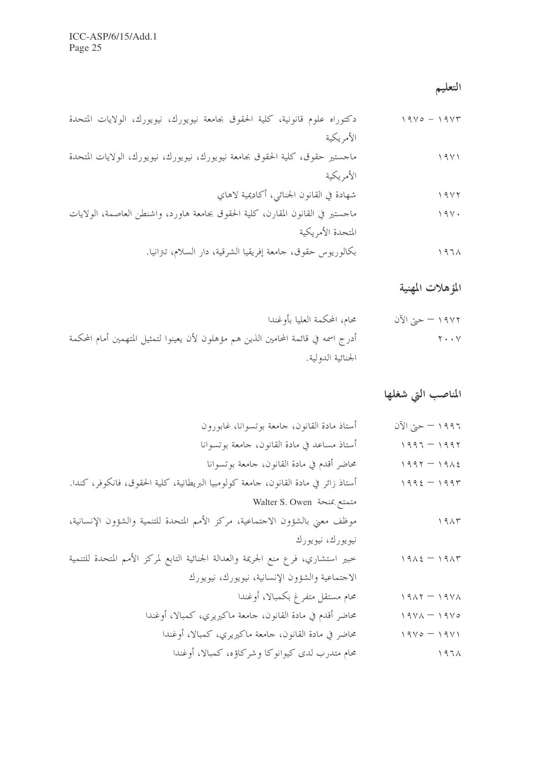## التعليم

## المؤهلات المهنية

| ١٩٧٢ – حتى الآن | محام، المحكمة العليا بأوغندا                                                        |
|-----------------|-------------------------------------------------------------------------------------|
| $Y \cdot Y$     | أدرج اسمه في قائمة المحامين الذين هم مؤهلون لأن يعينوا لتمثيل المتهمين أمام المحكمة |
|                 | الجنائية الدولية.                                                                   |

## المناصب التي شغلها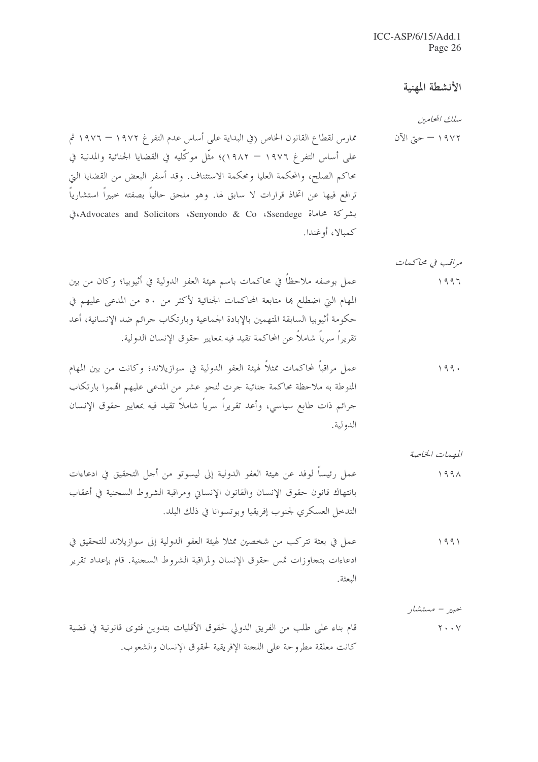## الأنشطة المهنية

مراقب في محاكيمات

المهمات الخاصة

خبير – مستشار

قام بناء على طلب من الفريق الدولي لحقوق الأقليات بتدوين فتوى قانونية في قضية  $Y \cdot Y$ كانت معلقة مطروحة على اللجنة الإفريقية لحقوق الإنسان والشعوب.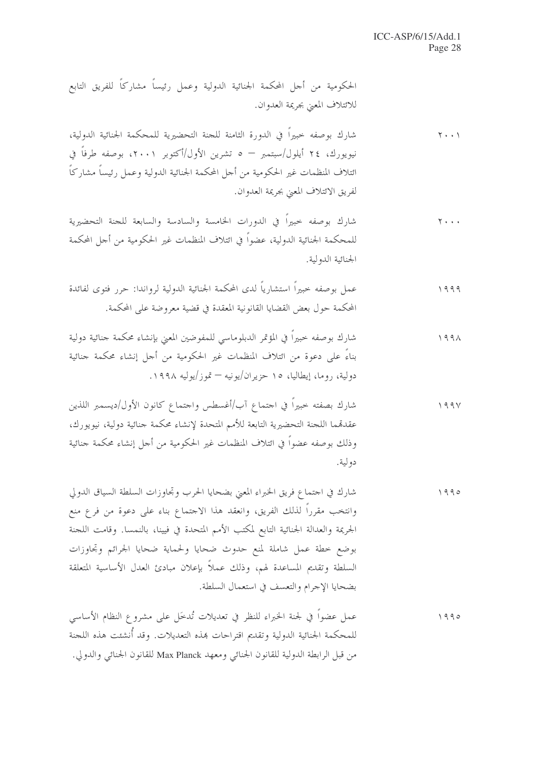الحكومية من أحل المحكمة الجنائية الدولية وعمل رئيساً مشاركاً للفريق التابع للائتلاف المعني بجريمة العدوان.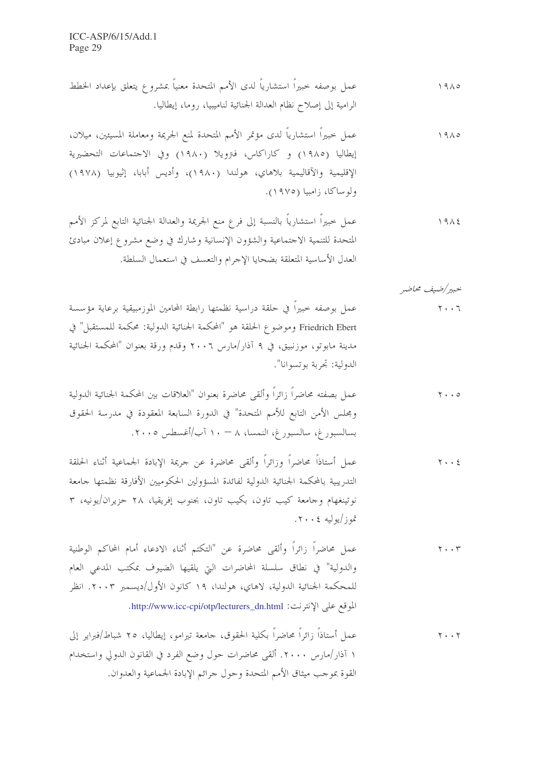خبير/ضيف محاضر عمل بوصفه حبيراً في حلقة دراسية نظمتها رابطة المحامين الموزمبيقية برعاية مؤسسة  $Y \cdot \cdot 7$ 

Friedrich Ebert وموضوع الحلقة هو "المحكمة الجنائية الدولية: محكمة للمستقبل" في مدينة مابوتو، موزنبيق، في ٩ آذار/مارس ٢٠٠٦ وقدم ورقة بعنوان "المحكمة الجنائية الدولية: تحربة بوتسوانا".

عمل أستاذاً محاضراً وزائراً وألقى محاضرة عن حريمة الإبادة الجماعية أثناء الحلقة  $Y \cdot \cdot 2$ التدريبية بالمحكمة الجنائية الدولية لفائدة المسؤولين الحكوميين الأفارقة نظمتها حامعة نوتينغهام وجامعة كيب تاون، بكيب تاون، بجنوب إفريقيا، ٢٨ حزيران/يونيه، ٣ تموز/يوليه ٢٠٠٤.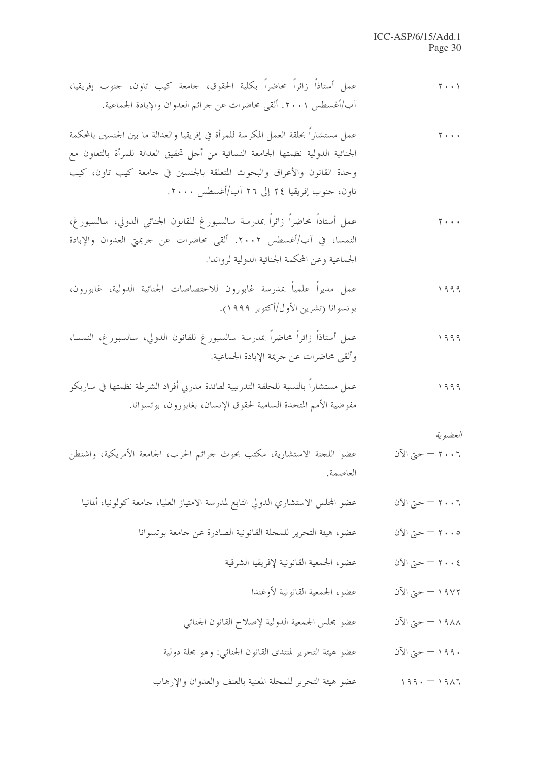| $\mathbf{y} \cdot \cdot \mathbf{y}$                                       | عمل أستاذاً زائراً محاضراً بكلية الحقوق، جامعة كيب تاون، جنوب إفريقيا،<br>آب/أغسطس ٢٠٠١. ألقى محاضرات عن جرائم العدوان والإبادة الجماعية.                                                                                                                                                        |
|---------------------------------------------------------------------------|--------------------------------------------------------------------------------------------------------------------------------------------------------------------------------------------------------------------------------------------------------------------------------------------------|
| $\overline{Y}$ + + +                                                      | عمل مستشاراً بحلقة العمل المكرسة للمرأة في إفريقيا والعدالة ما بين الجنسين بالمحكمة<br>الجنائية الدولية نظمتها الجامعة النسائية من أحل تحقيق العدالة للمرأة بالتعاون مع<br>وحدة القانون والأعراق والبحوث المتعلقة بالجنسين في حامعة كيب تاون، كيب<br>تاون، حنوب إفريقيا ٢٤ إلى ٢٦ آب/أغسطس ٢٠٠٠. |
| $\overline{Y}$ + + +                                                      | عمل أستاذاً محاضراً زائراً بمدرسة سالسبورغ للقانون الجنائي الدولي، سالسبورغ،<br>النمسا، في آب/أغسطس ٢٠٠٢. ألقى محاضرات عن حريمتي العدوان والإبادة<br>الجماعية وعن المحكمة الجنائية الدولية لرواندا.                                                                                              |
| 1999                                                                      | عمل مديراً علمياً بمدرسة غابورون للاختصاصات الجنائية الدولية، غابورون،<br>بوتسوانا (تشرين الأول/أكتوبر ١٩٩٩).                                                                                                                                                                                    |
| 1999                                                                      | عمل أستاذاً زائراً محاضراً بمدرسة سالسبورغ للقانون الدولي، سالسبورغ، النمسا،<br>وألقى محاضرات عن جريمة الإبادة الجماعية.                                                                                                                                                                         |
| 1999                                                                      | عمل مستشاراً بالنسبة للحلقة التدريبية لفائدة مدربي أفراد الشرطة نظمتها في ساربكو<br>مفوضية الأمم المتحدة السامية لحقوق الإنسان، بغابورون، بوتسوانا.                                                                                                                                              |
| العضوية                                                                   |                                                                                                                                                                                                                                                                                                  |
| ٢٠٠٦ – حتى الآن                                                           | عضو اللحنة الاستشارية، مكتب بحوث حرائم الحرب، الجامعة الأمريكية، واشنطن<br>العاصمة.                                                                                                                                                                                                              |
| $\mathcal{V} \setminus \mathcal{V} = \mathcal{V} \setminus \mathcal{V}$ ن | عضو المحلس الاستشاري الدولي التابع لمدرسة الامتياز العليا، حامعة كولونيا، ألمانيا                                                                                                                                                                                                                |
| ٢٠٠٥ – حتى الآن                                                           | عضو، هيئة التحرير للمجلة القانونية الصادرة عن جامعة بوتسوانا                                                                                                                                                                                                                                     |
| $\mathcal{V}(\mathcal{V}) = -\mathcal{V}(\mathcal{V})$ ن                  | عضو، الجمعية القانونية لإفريقيا الشرقية                                                                                                                                                                                                                                                          |
| ١٩٧٢ – حتى الآن                                                           | عضو، الجمعية القانونية لأوغندا                                                                                                                                                                                                                                                                   |
| ١٩٨٨ – حتى الآن                                                           | عضو محلس الجمعية الدولية لإصلاح القانون الجنائي                                                                                                                                                                                                                                                  |
| ١٩٩٠ – حتى الآن                                                           | عضو هيئة التحرير لمنتدى القانون الجنائي: وهو مجلة دولية                                                                                                                                                                                                                                          |
|                                                                           |                                                                                                                                                                                                                                                                                                  |

١٩٨٦ – ١٩٩٠ – مصنو هيئة التحرير للمجلة المعنية بالعنف والعدوان والإرهاب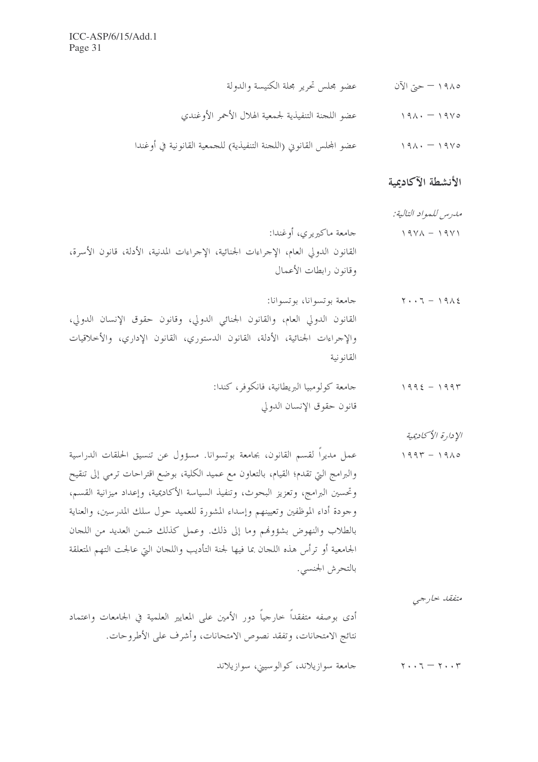| عضو محلس تحرير محلة الكنيسة والدولة                                | ١٩٨٥ – حتى الآن |
|--------------------------------------------------------------------|-----------------|
| عضو اللحنة التنفيذية لجمعية الهلال الأحمر الأوغندي                 | $191. - 1910$   |
| عضو المحلس القانويي (اللحنة التنفيذية) للحمعية القانونية في أوغندا | $191. - 1910$   |

## الأنشطة الآكاديمية

الإدارة الأكادبمية

متفقد خارجي

أدى بوصفه متفقداً حارجياً دور الأمين على المعايير العلمية في الجامعات واعتماد نتائج الامتحانات، وتفقد نصوص الامتحانات، وأشرف على الأطروحات.

۲۰۰۳ – ۲۰۰۲ هـ صحامعة سوازيلاند، كوالوسيني، سوازيلاند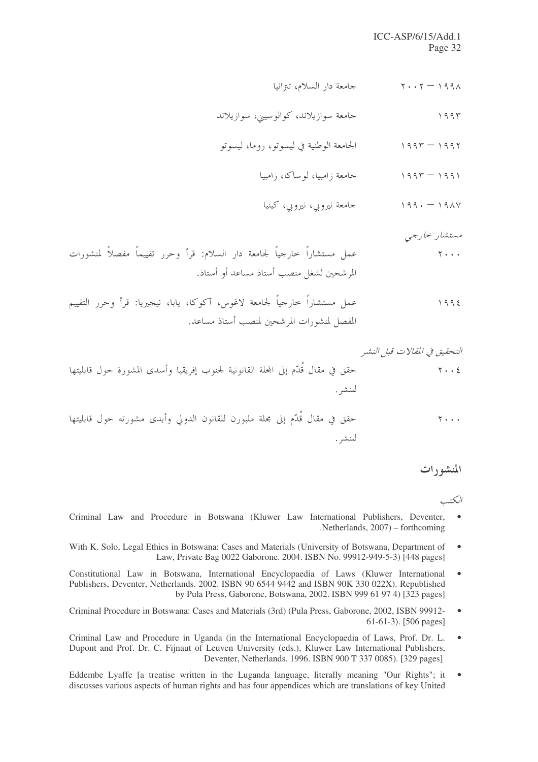#### ICC-ASP/6/15/Add.1 Page 32

مستشار حارجي

#### الكت

- Criminal Law and Procedure in Botswana (Kluwer Law International Publishers, Deventer,  $\bullet$ Netherlands, 2007) – forthcoming
- With K. Solo, Legal Ethics in Botswana: Cases and Materials (University of Botswana, Department of  $\bullet$ Law, Private Bag 0022 Gaborone. 2004. ISBN No. 99912-949-5-3) [448 pages]
- Constitutional Law in Botswana, International Encyclopaedia of Laws (Kluwer International  $\bullet$ Publishers, Deventer, Netherlands. 2002. ISBN 90 6544 9442 and ISBN 90K 330 022X). Republished by Pula Press, Gaborone, Botswana, 2002. ISBN 999 61 97 4) [323 pages]
- Criminal Procedure in Botswana: Cases and Materials (3rd) (Pula Press, Gaborone, 2002, ISBN 99912- $\bullet$ 61-61-3). [506 pages]
- Criminal Law and Procedure in Uganda (in the International Encyclopaedia of Laws, Prof. Dr. L. Dupont and Prof. Dr. C. Fijnaut of Leuven University (eds.), Kluwer Law International Publishers, Deventer, Netherlands. 1996. ISBN 900 T 337 0085). [329 pages]
- Eddembe Lyaffe [a treatise written in the Luganda language, literally meaning "Our Rights"; it  $\bullet$ discusses various aspects of human rights and has four appendices which are translations of key United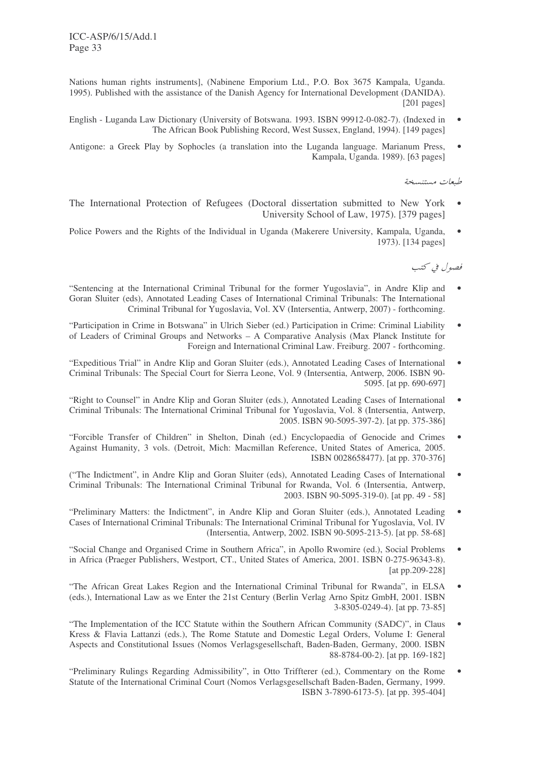Nations human rights instruments], (Nabinene Emporium Ltd., P.O. Box 3675 Kampala, Uganda. 1995). Published with the assistance of the Danish Agency for International Development (DANIDA). [201 pages]

- English Luganda Law Dictionary (University of Botswana. 1993. ISBN 99912-0-082-7). (Indexed in The African Book Publishing Record, West Sussex, England, 1994). [149 pages]
- Antigone: a Greek Play by Sophocles (a translation into the Luganda language. Marianum Press, Kampala, Uganda. 1989). [63 pages]

طبعات مستنسخة

- The International Protection of Refugees (Doctoral dissertation submitted to New York University School of Law, 1975). [379 pages]
- Police Powers and the Rights of the Individual in Uganda (Makerere University, Kampala, Uganda, 1973). [134 pages]

فصول في كتب

- "Sentencing at the International Criminal Tribunal for the former Yugoslavia", in Andre Klip and Goran Sluiter (eds), Annotated Leading Cases of International Criminal Tribunals: The International Criminal Tribunal for Yugoslavia, Vol. XV (Intersentia, Antwerp, 2007) - forthcoming.
- "Participation in Crime in Botswana" in Ulrich Sieber (ed.) Participation in Crime: Criminal Liability of Leaders of Criminal Groups and Networks – A Comparative Analysis (Max Planck Institute for Foreign and International Criminal Law. Freiburg. 2007 - forthcoming.
- "Expeditious Trial" in Andre Klip and Goran Sluiter (eds.), Annotated Leading Cases of International Criminal Tribunals: The Special Court for Sierra Leone, Vol. 9 (Intersentia, Antwerp, 2006. ISBN 90- 5095. [at pp. 690-697]
- "Right to Counsel" in Andre Klip and Goran Sluiter (eds.), Annotated Leading Cases of International Criminal Tribunals: The International Criminal Tribunal for Yugoslavia, Vol. 8 (Intersentia, Antwerp, 2005. ISBN 90-5095-397-2). [at pp. 375-386]
- "Forcible Transfer of Children" in Shelton, Dinah (ed.) Encyclopaedia of Genocide and Crimes Against Humanity, 3 vols. (Detroit, Mich: Macmillan Reference, United States of America, 2005. ISBN 0028658477). [at pp. 370-376]
- ("The Indictment", in Andre Klip and Goran Sluiter (eds), Annotated Leading Cases of International Criminal Tribunals: The International Criminal Tribunal for Rwanda, Vol. 6 (Intersentia, Antwerp, 2003. ISBN 90-5095-319-0). [at pp. 49 - 58]
- "Preliminary Matters: the Indictment", in Andre Klip and Goran Sluiter (eds.), Annotated Leading Cases of International Criminal Tribunals: The International Criminal Tribunal for Yugoslavia, Vol. IV (Intersentia, Antwerp, 2002. ISBN 90-5095-213-5). [at pp. 58-68]
- "Social Change and Organised Crime in Southern Africa", in Apollo Rwomire (ed.), Social Problems in Africa (Praeger Publishers, Westport, CT., United States of America, 2001. ISBN 0-275-96343-8). [at pp.209-228]
- "The African Great Lakes Region and the International Criminal Tribunal for Rwanda", in ELSA (eds.), International Law as we Enter the 21st Century (Berlin Verlag Arno Spitz GmbH, 2001. ISBN 3-8305-0249-4). [at pp. 73-85]
- "The Implementation of the ICC Statute within the Southern African Community (SADC)", in Claus Kress & Flavia Lattanzi (eds.), The Rome Statute and Domestic Legal Orders, Volume I: General Aspects and Constitutional Issues (Nomos Verlagsgesellschaft, Baden-Baden, Germany, 2000. ISBN 88-8784-00-2). [at pp. 169-182]
- "Preliminary Rulings Regarding Admissibility", in Otto Triffterer (ed.), Commentary on the Rome Statute of the International Criminal Court (Nomos Verlagsgesellschaft Baden-Baden, Germany, 1999. ISBN 3-7890-6173-5). [at pp. 395-404]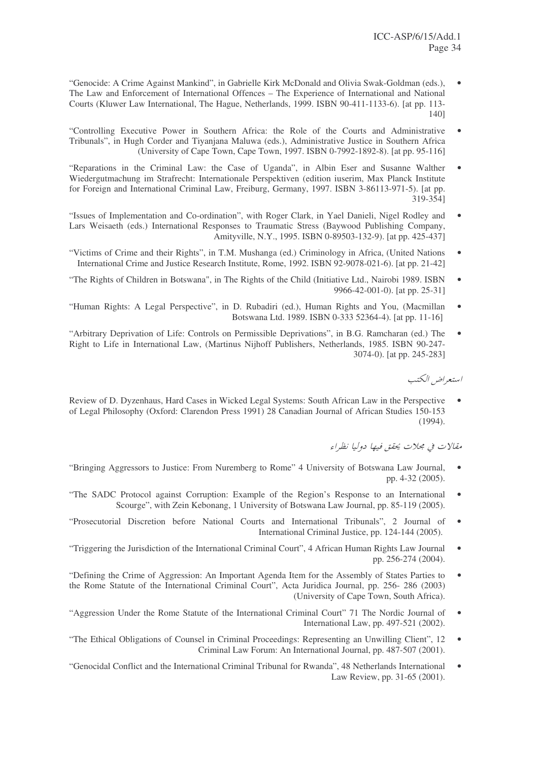- "Genocide: A Crime Against Mankind", in Gabrielle Kirk McDonald and Olivia Swak-Goldman (eds.), The Law and Enforcement of International Offences – The Experience of International and National Courts (Kluwer Law International, The Hague, Netherlands, 1999. ISBN 90-411-1133-6). [at pp. 113- 140]
- "Controlling Executive Power in Southern Africa: the Role of the Courts and Administrative Tribunals", in Hugh Corder and Tiyanjana Maluwa (eds.), Administrative Justice in Southern Africa (University of Cape Town, Cape Town, 1997. ISBN 0-7992-1892-8). [at pp. 95-116]
- "Reparations in the Criminal Law: the Case of Uganda", in Albin Eser and Susanne Walther Wiedergutmachung im Strafrecht: Internationale Perspektiven (edition iuserim, Max Planck Institute for Foreign and International Criminal Law, Freiburg, Germany, 1997. ISBN 3-86113-971-5). [at pp. 319-354]
- "Issues of Implementation and Co-ordination", with Roger Clark, in Yael Danieli, Nigel Rodley and Lars Weisaeth (eds.) International Responses to Traumatic Stress (Baywood Publishing Company, Amityville, N.Y., 1995. ISBN 0-89503-132-9). [at pp. 425-437]
- "Victims of Crime and their Rights", in T.M. Mushanga (ed.) Criminology in Africa, (United Nations International Crime and Justice Research Institute, Rome, 1992. ISBN 92-9078-021-6). [at pp. 21-42]
- "The Rights of Children in Botswana", in The Rights of the Child (Initiative Ltd., Nairobi 1989. ISBN 9966-42-001-0). [at pp. 25-31]
- "Human Rights: A Legal Perspective", in D. Rubadiri (ed.), Human Rights and You, (Macmillan Botswana Ltd. 1989. ISBN 0-333 52364-4). [at pp. 11-16]
- "Arbitrary Deprivation of Life: Controls on Permissible Deprivations", in B.G. Ramcharan (ed.) The Right to Life in International Law, (Martinus Nijhoff Publishers, Netherlands, 1985. ISBN 90-247- 3074-0). [at pp. 245-283]

استعراض الكتب

Review of D. Dyzenhaus, Hard Cases in Wicked Legal Systems: South African Law in the Perspective • of Legal Philosophy (Oxford: Clarendon Press 1991) 28 Canadian Journal of African Studies 150-153 (1994).

مقالات في مجلات يحقق فيها دوليا نظراء

- "Bringing Aggressors to Justice: From Nuremberg to Rome" 4 University of Botswana Law Journal, pp. 4-32 (2005).
- "The SADC Protocol against Corruption: Example of the Region's Response to an International Scourge", with Zein Kebonang, 1 University of Botswana Law Journal, pp. 85-119 (2005).
- "Prosecutorial Discretion before National Courts and International Tribunals", 2 Journal of International Criminal Justice, pp. 124-144 (2005).
- "Triggering the Jurisdiction of the International Criminal Court", 4 African Human Rights Law Journal pp. 256-274 (2004).
- "Defining the Crime of Aggression: An Important Agenda Item for the Assembly of States Parties to the Rome Statute of the International Criminal Court", Acta Juridica Journal, pp. 256- 286 (2003) (University of Cape Town, South Africa).
- "Aggression Under the Rome Statute of the International Criminal Court" 71 The Nordic Journal of International Law, pp. 497-521 (2002).
- "The Ethical Obligations of Counsel in Criminal Proceedings: Representing an Unwilling Client", 12 Criminal Law Forum: An International Journal, pp. 487-507 (2001).
- "Genocidal Conflict and the International Criminal Tribunal for Rwanda", 48 Netherlands International Law Review, pp. 31-65 (2001).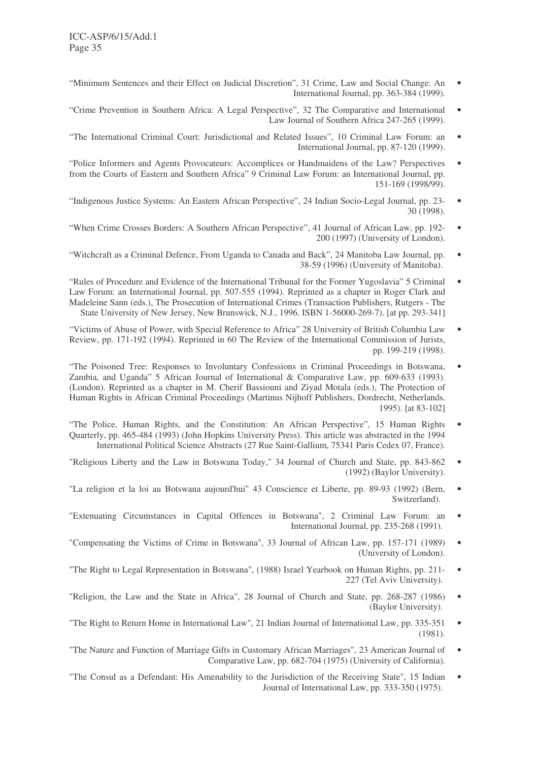- "Minimum Sentences and their Effect on Judicial Discretion", 31 Crime, Law and Social Change: An International Journal, pp. 363-384 (1999).
- "Crime Prevention in Southern Africa: A Legal Perspective", 32 The Comparative and International Law Journal of Southern Africa 247-265 (1999).
- "The International Criminal Court: Jurisdictional and Related Issues", 10 Criminal Law Forum: an International Journal, pp. 87-120 (1999).
- "Police Informers and Agents Provocateurs: Accomplices or Handmaidens of the Law? Perspectives from the Courts of Eastern and Southern Africa" 9 Criminal Law Forum: an International Journal, pp. 151-169 (1998/99).
- "Indigenous Justice Systems: An Eastern African Perspective", 24 Indian Socio-Legal Journal, pp. 23- 30 (1998).
- "When Crime Crosses Borders: A Southern African Perspective", 41 Journal of African Law, pp. 192- 200 (1997) (University of London).
- "Witchcraft as a Criminal Defence, From Uganda to Canada and Back", 24 Manitoba Law Journal, pp. 38-59 (1996) (University of Manitoba).
- "Rules of Procedure and Evidence of the International Tribunal for the Former Yugoslavia" 5 Criminal Law Forum: an International Journal, pp. 507-555 (1994). Reprinted as a chapter in Roger Clark and Madeleine Sann (eds.), The Prosecution of International Crimes (Transaction Publishers, Rutgers - The State University of New Jersey, New Brunswick, N.J., 1996. ISBN 1-56000-269-7). [at pp. 293-341]
- "Victims of Abuse of Power, with Special Reference to Africa" 28 University of British Columbia Law Review, pp. 171-192 (1994). Reprinted in 60 The Review of the International Commission of Jurists, pp. 199-219 (1998).
- "The Poisoned Tree: Responses to Involuntary Confessions in Criminal Proceedings in Botswana, Zambia, and Uganda" 5 African Journal of International & Comparative Law, pp. 609-633 (1993). (London). Reprinted as a chapter in M. Cherif Bassiouni and Ziyad Motala (eds.), The Protection of Human Rights in African Criminal Proceedings (Martinus Nijhoff Publishers, Dordrecht, Netherlands. 1995). [at 83-102]
- "The Police, Human Rights, and the Constitution: An African Perspective", 15 Human Rights Quarterly, pp. 465-484 (1993) (John Hopkins University Press). This article was abstracted in the 1994 International Political Science Abstracts (27 Rue Saint-Gallium, 75341 Paris Cedex 07, France).
- "Religious Liberty and the Law in Botswana Today," 34 Journal of Church and State, pp. 843-862 (1992) (Baylor University).
- "La religion et la loi au Botswana aujourd'hui" 43 Conscience et Liberte, pp. 89-93 (1992) (Bern, Switzerland).
- "Extenuating Circumstances in Capital Offences in Botswana", 2 Criminal Law Forum: an International Journal, pp. 235-268 (1991).
- "Compensating the Victims of Crime in Botswana", 33 Journal of African Law, pp. 157-171 (1989) (University of London).
- "The Right to Legal Representation in Botswana", (1988) Israel Yearbook on Human Rights, pp. 211- 227 (Tel Aviv University).
- "Religion, the Law and the State in Africa", 28 Journal of Church and State, pp. 268-287 (1986) (Baylor University).
- "The Right to Return Home in International Law", 21 Indian Journal of International Law, pp. 335-351 (1981).
- "The Nature and Function of Marriage Gifts in Customary African Marriages", 23 American Journal of Comparative Law, pp. 682-704 (1975) (University of California).
- "The Consul as a Defendant: His Amenability to the Jurisdiction of the Receiving State", 15 Indian Journal of International Law, pp. 333-350 (1975).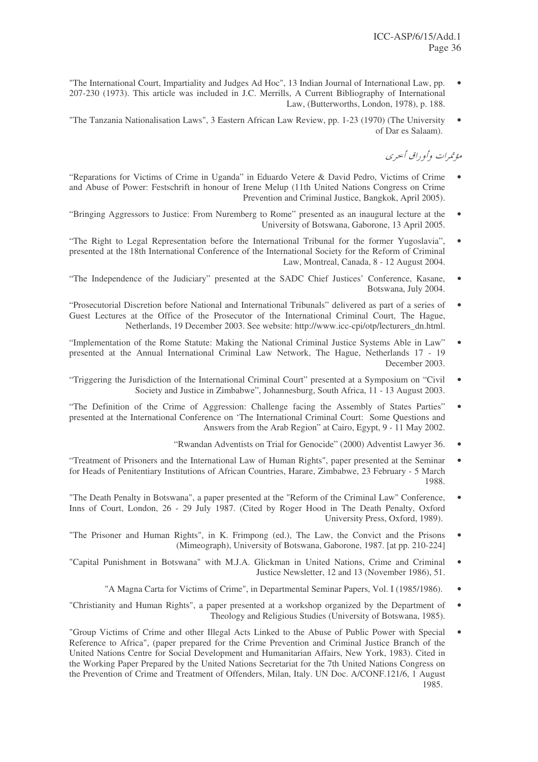- "The International Court, Impartiality and Judges Ad Hoc", 13 Indian Journal of International Law, pp. 207-230 (1973). This article was included in J.C. Merrills, A Current Bibliography of International Law, (Butterworths, London, 1978), p. 188.
- "The Tanzania Nationalisation Laws", 3 Eastern African Law Review, pp. 1-23 (1970) (The University of Dar es Salaam).

مؤتمرات وأو راق أحيري

- "Reparations for Victims of Crime in Uganda" in Eduardo Vetere & David Pedro, Victims of Crime and Abuse of Power: Festschrift in honour of Irene Melup (11th United Nations Congress on Crime Prevention and Criminal Justice, Bangkok, April 2005).
- "Bringing Aggressors to Justice: From Nuremberg to Rome" presented as an inaugural lecture at the University of Botswana, Gaborone, 13 April 2005.
- "The Right to Legal Representation before the International Tribunal for the former Yugoslavia", presented at the 18th International Conference of the International Society for the Reform of Criminal Law, Montreal, Canada, 8 - 12 August 2004.
- "The Independence of the Judiciary" presented at the SADC Chief Justices' Conference, Kasane, Botswana, July 2004.
- "Prosecutorial Discretion before National and International Tribunals" delivered as part of a series of Guest Lectures at the Office of the Prosecutor of the International Criminal Court, The Hague, Netherlands, 19 December 2003. See website: http://www.icc-cpi/otp/lecturers\_dn.html.
- "Implementation of the Rome Statute: Making the National Criminal Justice Systems Able in Law" presented at the Annual International Criminal Law Network, The Hague, Netherlands 17 - 19 December 2003.
- "Triggering the Jurisdiction of the International Criminal Court" presented at a Symposium on "Civil Society and Justice in Zimbabwe", Johannesburg, South Africa, 11 - 13 August 2003.
- "The Definition of the Crime of Aggression: Challenge facing the Assembly of States Parties" presented at the International Conference on 'The International Criminal Court: Some Questions and Answers from the Arab Region" at Cairo, Egypt, 9 - 11 May 2002.
	- "Rwandan Adventists on Trial for Genocide" (2000) Adventist Lawyer 36. •
- "Treatment of Prisoners and the International Law of Human Rights", paper presented at the Seminar for Heads of Penitentiary Institutions of African Countries, Harare, Zimbabwe, 23 February - 5 March 1988.
- "The Death Penalty in Botswana", a paper presented at the "Reform of the Criminal Law" Conference, Inns of Court, London, 26 - 29 July 1987. (Cited by Roger Hood in The Death Penalty, Oxford University Press, Oxford, 1989).
- "The Prisoner and Human Rights", in K. Frimpong (ed.), The Law, the Convict and the Prisons (Mimeograph), University of Botswana, Gaborone, 1987. [at pp. 210-224]
- "Capital Punishment in Botswana" with M.J.A. Glickman in United Nations, Crime and Criminal Justice Newsletter, 12 and 13 (November 1986), 51.
	- "A Magna Carta for Victims of Crime", in Departmental Seminar Papers, Vol. I (1985/1986).  $\bullet$
- "Christianity and Human Rights", a paper presented at a workshop organized by the Department of Theology and Religious Studies (University of Botswana, 1985).
- "Group Victims of Crime and other Illegal Acts Linked to the Abuse of Public Power with Special Reference to Africa", (paper prepared for the Crime Prevention and Criminal Justice Branch of the United Nations Centre for Social Development and Humanitarian Affairs, New York, 1983). Cited in the Working Paper Prepared by the United Nations Secretariat for the 7th United Nations Congress on the Prevention of Crime and Treatment of Offenders, Milan, Italy. UN Doc. A/CONF.121/6, 1 August 1985.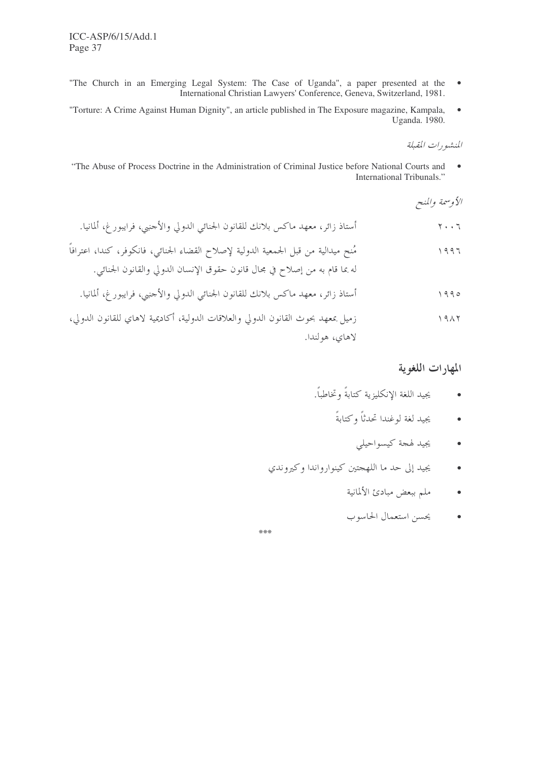- "The Church in an Emerging Legal System: The Case of Uganda", a paper presented at the  $\bullet$ International Christian Lawyers' Conference, Geneva, Switzerland, 1981.
- "Torture: A Crime Against Human Dignity", an article published in The Exposure magazine, Kampala,  $\bullet$ Uganda. 1980.

المنشهورات المقبلة

"The Abuse of Process Doctrine in the Administration of Criminal Justice before National Courts and  $\bullet$ International Tribunals."

الأوسمة والمنح

#### المهارات اللغوية

- يجيد اللغة الإنكليزية كتابةً وتخاطباً.  $\bullet$ 
	- يجيد لغة لوغندا تحدثاً وكتابةً  $\bullet$ 
		- يجيد لهجة كيسواحيلي  $\bullet$
- يجيد إلى حد ما اللهجتين كينوارواندا وكيروندي  $\bullet$ 
	- ملم ببعض مبادئ الألمانية  $\bullet$
	- يحسن استعمال الحاسوب  $\bullet$

\*\*\*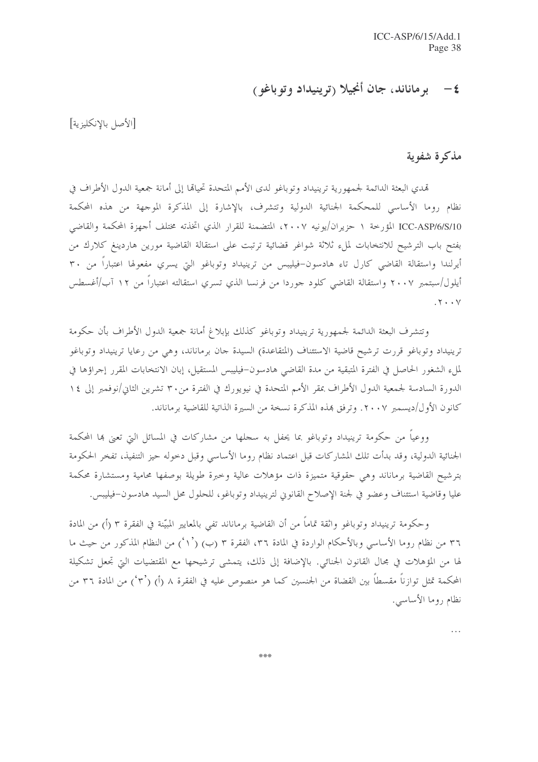## ٤ - برماناند، جان أنجيلا (ترينيداد وتوباغو)

[الأصل بالإنكليزية]

### مذكرة شفوية

تمدي البعثة الدائمة لجمهورية ترينيداد وتوباغو لدى الأمم المتحدة تحيالها إلى أمانة جمعية الدول الأطراف في نظام روما الأساسي للمحكمة الجنائية الدولية وتتشرف، بالإشارة إلى المذكرة الموجهة من هذه المحكمة ICC-ASP/6/S/10 المؤرخة ١ حزيران/يونيه ٢٠٠٧، المتضمنة للقرار الذي اتخذته مختلف أجهزة المحكمة والقاضي بفتح باب الترشيح للانتخابات لملء ثلاثة شواغر قضائية ترتبت على استقالة القاضية مورين هاردينغ كلارك من أيرلندا واستقالة القاضي كارل تاء هادسون–فيليبس من ترينيداد وتوباغو التي يسري مفعولها اعتباراً من ٣٠ أيلول/سبتمبر ٢٠٠٧ واستقالة القاضي كلود جوردا من فرنسا الذي تسري استقالته اعتباراً من ١٢ آب/أغسطس  $.7 \cdot \cdot \vee$ 

وتتشرف البعثة الدائمة لجمهورية ترينيداد وتوباغو كذلك بإبلاغ أمانة جمعية الدول الأطراف بأن حكومة ترينيداد وتوباغو قررت ترشيح قاضية الاستئناف (المتقاعدة) السيدة حان برماناند، وهي من رعايا ترينيداد وتوباغو لملء الشغور الحاصل في الفترة المتبقية من مدة القاضي هادسون-فيليبس المستقيل، إبان الانتخابات المقرر إحراؤها في الدورة السادسة لجمعية الدول الأطراف بمقر الأمم المتحدة في نيويورك في الفترة من٣٠ تشرين الثاني/نوفمبر إلى ١٤ كانون الأول/ديسمبر ٢٠٠٧. وترفق هِذه المذكرة نسخة من السيرة الذاتية للقاضية برماناند.

ووعياً من حكومة ترينيداد وتوباغو بما يحفل به سجلها من مشاركات في المسائل التي تعني بما المحكمة الجنائية الدولية، وقد بدأت تلك المشاركات قبل اعتماد نظام روما الأساسي وقبل دحوله حيز التنفيذ، تفخر الحكومة بترشيح القاضية برماناند وهي حقوقية متميزة ذات مؤهلات عالية وحبرة طويلة بوصفها محامية ومستشارة محكمة عليا وقاضية استئناف وعضو في لجنة الإصلاح القانوني لترينيداد وتوباغو، للحلول محل السيد هادسون-فيليبس.

وحكومة ترينيداد وتوباغو واثقة تماماً من أن القاضية برماناند تفي بالمعايير المبيّنة في الفقرة ٣ (أ) من المادة ٣٦ من نظام روما الأساسي وبالأحكام الواردة في المادة ٣٦، الفقرة ٣ (ب) (١٬ ) من النظام المذكور من حيث ما لها من المؤهلات في مجال القانون الجنائي. بالإضافة إلى ذلك، يتمشى ترشيحها مع المقتضيات التي تجعل تشكيلة المحكمة تمثل توازناً مقسطاً بين القضاة من الجنسين كما هو منصوص عليه في الفقرة ٨ (أ) (٣٬ ) من المادة ٣٦ من نظام روما الأساسي.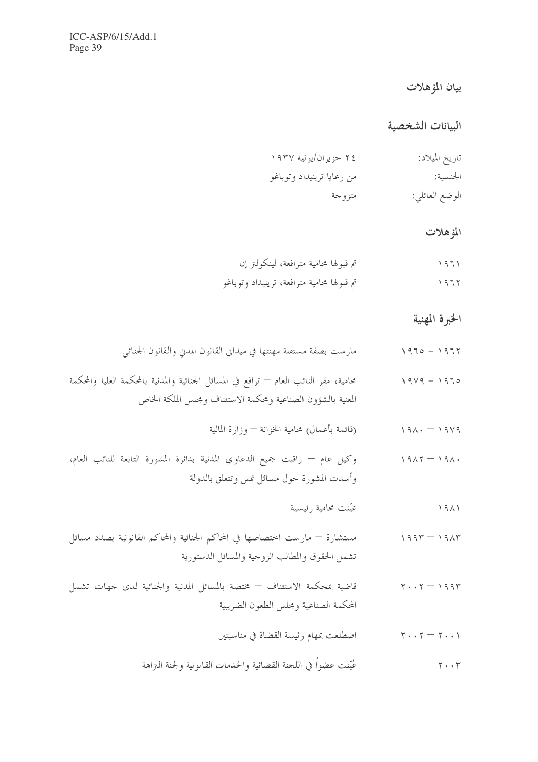## بيان المؤهلات

#### السانات الشخصية

| تاريخ الميلاد: | ۲٤ حزیران/یونیه ۱۹۳۷      |
|----------------|---------------------------|
| الجنسية:       | من رعايا ترينيداد وتوباغو |
| الوضع العائلي: | متزوجة                    |

#### المؤهلات

| تم قبولها محامية مترافعة، لينكولنز إن      | $\setminus 971$ |
|--------------------------------------------|-----------------|
| تم قبولها محامية مترافعة، ترينيداد وتوباغو | 1977            |

### الخبرة المهنية

|  |  | مارست بصفة مستقلة مهنتها في ميداني القانون المدني والقانون الجنائبي | $1970 - 1977$ |  |
|--|--|---------------------------------------------------------------------|---------------|--|
|  |  |                                                                     |               |  |

- محامية، مقر النائب العام ترافع في المسائل الجنائية والمدنية بالمحكمة العليا والمحكمة  $1919 - 1970$ المعنية بالشؤون الصناعية ومحكمة الاستئناف ومجلس الملكة الخاص
	- ١٩٧٩ ١٩٨٠ (قائمة بأعمال) محامية الخزانة وزارة المالية
- وكيل عام راقبت جميع الدعاوي المدنية بدائرة المشورة التابعة للنائب العام،  $1917 - 191.$ وأسدت المشورة حول مسائل تمس وتتعلق بالدولة
	- عيّنت محامية رئيسية  $1911$
- مستشارة مارست اختصاصها في المحاكم الجنائية والمحاكم القانونية بصدد مسائل  $1997 - 1917$ تشمل الحقوق والمطالب الزوجية والمسائل الدستورية
- قاضية بمحكمة الاستئناف مختصة بالمسائل المدنية والجنائية لدى جهات تشمل  $Y \cdot Y = 1994$ المحكمة الصناعية ومجلس الطعون الضريبية
	- اضطلعت بمهام رئيسة القضاة في مناسبتين  $\gamma \cdot \cdot \gamma - \gamma \cdot \cdot \gamma$
	- عُيِّنت عضواً في اللجنة القضائية والخدمات القانونية ولجنة الـتزاهة  $\mathbf{y} \cdot \cdot \mathbf{r}$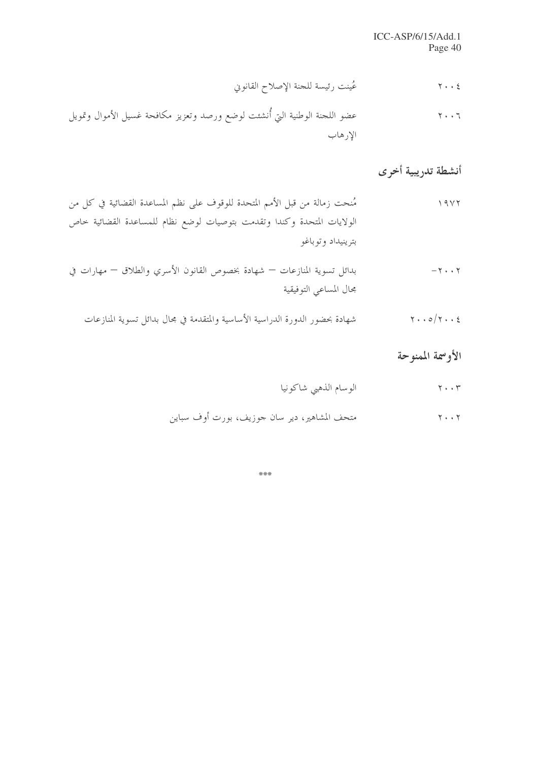عُينت رئيسة للجنة الإصلاح القانوني  $Y \cdot \cdot 2$ 

## أنشطة تدريبية أخرى

٢٠٠٥/٢٠٠٤ تسمية المنازعات بمحضور الدورة الدراسية الأساسية والمتقدمة في مجال بدائل تسوية المنازعات

## الأوسمة الممنوحة

\*\*\*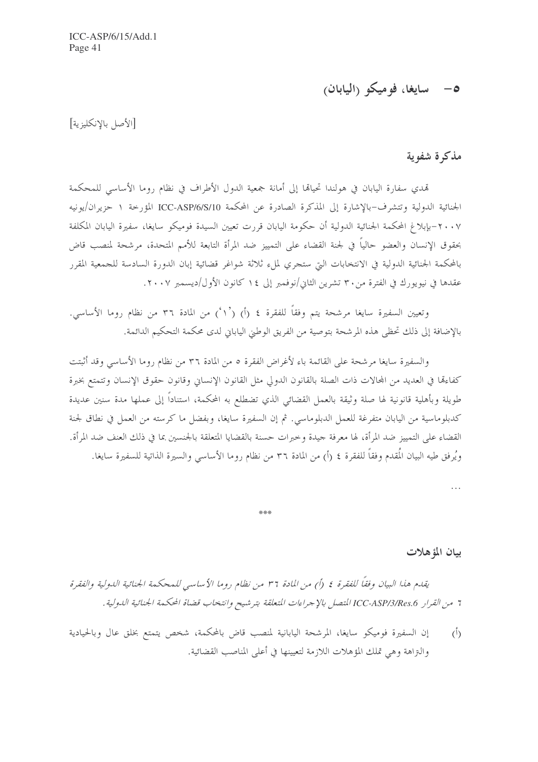## 0- سايغا، فوميكو (اليابان)

[الأصل بالإنكليزية]

#### مذكرة شفوية

تمدي سفارة اليابان في هولندا تحيالها إلى أمانة جمعية الدول الأطراف في نظام روما الأساسى للمحكمة الجنائية الدولية وتتشرف-بالإشارة إلى المذكرة الصادرة عن المحكمة ICC-ASP/6/S/10 المؤرخة ١ حزيران/يونيه ٢٠٠٧–بإبلاغ المحكمة الجنائية الدولية أن حكومة اليابان قررت تعيين السيدة فوميكو سايغا، سفيرة اليابان المكلفة بحقوق الإنسان والعضو حالياً في لجنة القضاء على التمييز ضد المرأة التابعة للأمم المتحدة، مرشحة لمنصب قاض بالمحكمة الجنائية الدولية في الانتخابات التي ستجري لملء ثلاثة شواغر قضائية إبان الدورة السادسة للجمعية المقرر عقدها في نيويورك في الفترة من ٣٠ تشرين الثاني/نوفمبر إلى ١٤ كانون الأول/ديسمبر ٢٠٠٧.

وتعيين السفيرة سايغا مرشحة يتم وفقاً للفقرة ٤ (أ) (١٠) من المادة ٣٦ من نظام روما الأساسي. بالإضافة إلى ذلك تحظى هذه المرشحة بتوصية من الفريق الوطني الياباني لدى محكمة التحكيم الدائمة.

والسفيرة سايغا مرشحة على القائمة باء لأغراض الفقرة ٥ من المادة ٣٦ من نظام روما الأساسي وقد أثبتت كفاءها في العديد من المحالات ذات الصلة بالقانون الدولي مثل القانون الإنساني وقانون حقوق الإنسان وتتمتع بخبرة طويلة وبأهلية قانونية لها صلة وثيقة بالعمل القضائي الذي تضطلع به المحكمة، استناداً إلى عملها مدة سنين عديدة كدبلوماسية من اليابان متفرغة للعمل الدبلوماسي. ثم إن السفيرة سايغا، وبفضل ما كرسته من العمل في نطاق لجنة القضاء على التمييز ضد المرأة، لها معرفة جيدة وخبرات حسنة بالقضايا المتعلقة بالجنسين بما في ذلك العنف ضد المرأة. ويُرفق طيه البيان المُقدم وفقاً للفقرة ٤ (أ) من المادة ٣٦ من نظام روما الأساسي والسيرة الذاتية للسفيرة سايغا.

 $\ddotsc$ 

ببان المؤهلات

يقدم هذا البيان وفقاً للفقرة ٤ (أ) من المادة ٣٦ من نظام روما الأساسي للمحكمة الجنائية الدولية والفقرة 7 من القرار ICC-ASP/3/Res.6 المتصل بالإجراءات المتعلقة بترشيح وانتخاب قضاة المحكمة الجنائية الدولية.

半半半

إن السفيرة فوميكو سايغا، المرشحة اليابانية لمنصب قاض بالمحكمة، شخص يتمتع بخلق عال وبالحيادية  $\langle \hat{L} \rangle$ والتراهة وهي تملك المؤهلات اللازمة لتعيينها في أعلى المناصب القضائية.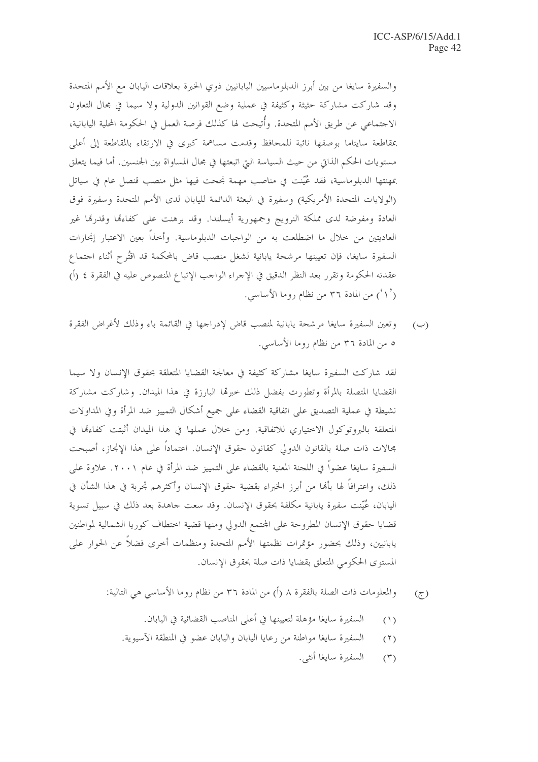والسفيرة سايغا من بين أبرز الدبلوماسيين اليابانيين ذوي الخبرة بعلاقات اليابان مع الأمم المتحدة وقد شاركت مشاركة حثيثة وكثيفة في عملية وضع القوانين الدولية ولا سيما في مجال التعاون الاجتماعي عن طريق الأمم المتحدة. وأُتيحت لها كذلك فرصة العمل في الحكومة المحلية اليابانية، بمقاطعة سايتاما بوصفها نائبة للمحافظ وقدمت مساهمة كبرى في الارتقاء بالمقاطعة إلى أعلى مستويات الحكم الذاتي من حيث السياسة التي اتبعتها في مجال المساواة بين الجنسين. أما فيما يتعلق بمهنتها الدبلوماسية، فقد عُيِّنت في مناصب مهمة نجحت فيها مثل منصب قنصل عام في سياتل (الولايات المتحدة الأمريكية) وسفيرة في البعثة الدائمة لليابان لدى الأمم المتحدة وسفيرة فوق العادة ومفوضة لدى مملكة النرويج وجمهورية أيسلندا. وقد برهنت على كفاءقما وقدرقما غير العاديتين من حلال ما اضطلعت به من الواجبات الدبلوماسية. وأحذاً بعين الاعتبار إنجازات السفيرة سايغا، فإن تعيينها مرشحة يابانية لشغل منصب قاض بالمحكمة قد اقتُرح أثناء اجتماع عقدته الحكومة وتقرر بعد النظر الدقيق في الإجراء الواحب الإتباع المنصوص عليه في الفقرة ٤ (أ) (`۱) من المادة ۳۶ من نظام روما الأساسي.

وتعين السفيرة سايغا مرشحة يابانية لمنصب قاض لإدراجها في القائمة باء وذلك لأغراض الفقرة  $(\hookrightarrow)$ ٥ من المادة ٣٦ من نظام روما الأساسي.

لقد شاركت السفيرة سايغا مشاركة كثيفة في معالجة القضايا المتعلقة بحقوق الإنسان ولا سيما القضايا المتصلة بالمرأة وتطورت بفضل ذلك حبرها البارزة في هذا الميدان. وشاركت مشاركة نشيطة في عملية التصديق على اتفاقية القضاء على جميع أشكال التمييز ضد المرأة وفي المداولات المتعلِّقة بالبروتوكول الاختياري للاتفاقية. ومن خلال عملها في هذا الميدان أثبتت كفاءهّا في مجالات ذات صلة بالقانون الدولي كقانون حقوق الإنسان. اعتماداً على هذا الإنجاز، أصبحت السفيرة سايغا عضواً في اللجنة المعنية بالقضاء على التمييز ضد المرأة في عام ٢٠٠١. علاوة على ذلك، واعترافًا لها بألها من أبرز الخبراء بقضية حقوق الإنسان وأكثرهم تجربة في هذا الشأن في اليابان، عُيِّنت سفيرة يابانية مكلفة بحقوق الإنسان. وقد سعت جاهدة بعد ذلك في سبيل تسوية قضايا حقوق الإنسان المطروحة على المحتمع الدولي ومنها قضية اختطاف كوريا الشمالية لمواطنين يابانيين، وذلك بحضور مؤتمرات نظمتها الأمم المتحدة ومنظمات أخرى فضلاً عن الحوار على المستوى الحكومي المتعلق بقضايا ذات صلة بحقوق الإنسان.

- والمعلومات ذات الصلة بالفقرة ٨ (أ) من المادة ٣٦ من نظام روما الأساسي هي التالية:  $\mathcal{L}$ 
	- السفيرة سايغا مؤهلة لتعيينها في أعلى المناصب القضائية في اليابان.  $(1)$
	- السفيرة سايغًا مواطنة من رعايا اليابان واليابان عضوٍ في المنطقة الآسيوية.  $(1)$ 
		- السفيرة سايغا أنثى.  $(\Upsilon)$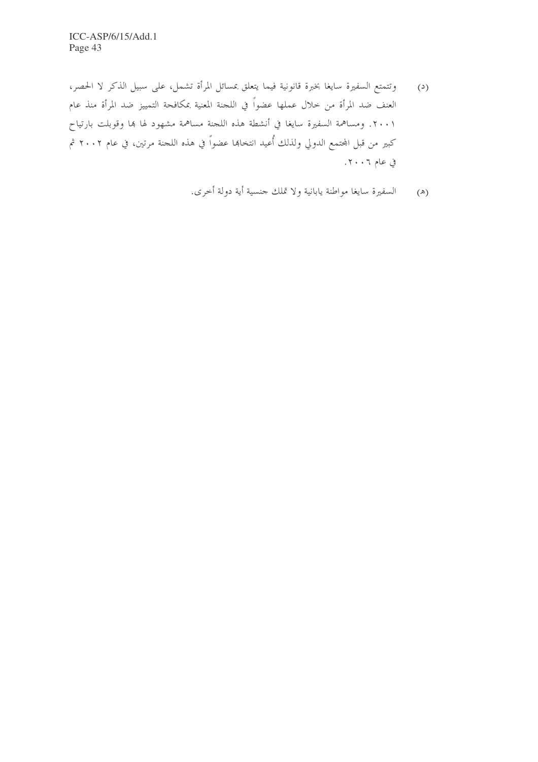وتتمتع السفيرة سايغا بخبرة قانونية فيما يتعلق بمسائل المرأة تشمل، على سبيل الذكر لا الحصر،  $\left( \alpha \right)$ العنف ضد المرأة من حلال عملها عضواً في اللجنة المعنية بمكافحة التمييز ضد المرأة منذ عام ٢٠٠١. ومساهمة السفيرة سايغا في أنشطة هذه اللجنة مساهمة مشهود لها بما وقوبلت بارتياح كبير من قبل المحتمع الدولي ولذلك أُعيد انتخاهما عضواً في هذه اللجنة مرتين، في عام ٢٠٠٢ ثم في عام ٢٠٠٦.

(هـ) السفيرة سايغا مواطنة يابانية ولا تملك حنسية أية دولة أخرى.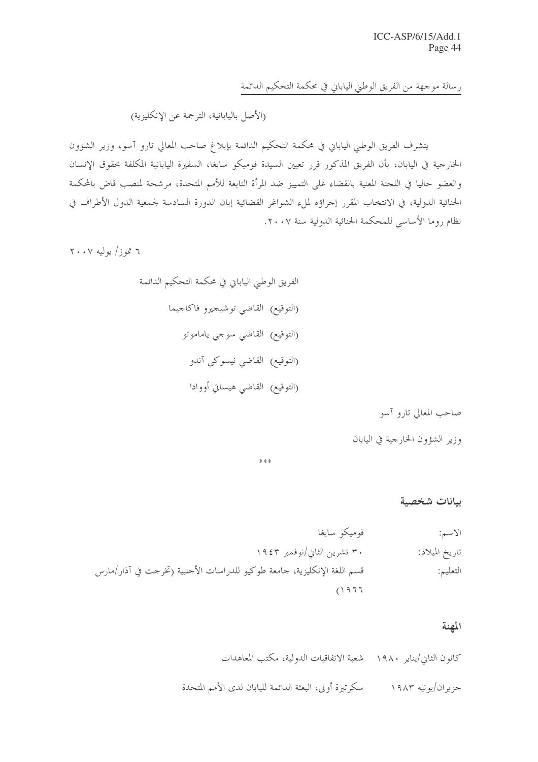رسالة موجهة من الفريق الوطني الياباني في محكمة التحكيم الدائمة

(الأصل باليابانية، الترجمة عن الإنكليزية)

يتشرف الفريق الوطني الياباني في محكمة التحكيم الدائمة بإبلاغ صاحب المعالي تارو آسو، وزير الشؤون الخارجية في اليابان، بأن الفريق المذكور قرر تعيين السيدة فوميكو سايغا، السفيرة اليابانية المكلفة بحقوق الإنسان والعضو حاليا في اللجنة المعنية بالقضاء على التمييز ضد المرأة التابعة للأمم المتحدة، مرشحة لمنصب قاض بالمحكمة الجنائية الدولية، في الانتخاب المقرر إجراؤه لملء الشواغر القضائية إبان الدورة السادسة لجمعية الدول الأطراف في نظام روما الأساسي للمحكمة الجنائية الدولية سنة ٢٠٠٧.

 $Y \cdot Y$  تموز / يوليه ۲۰۰۷

صاحب المعالي تارو آسو

وزير الشؤون الخارجية في اليابان

\*\*\*

ببانات شخصية

#### المهنة

كانون الثاني/يناير ١٩٨٠ - شعبة الاتفاقيات الدولية، مكتب المعاهدات حزير ان/يونيه ١٩٨٣ مسكرتيرة أولى، البعثة الدائمة لليابان لدى الأمم المتحدة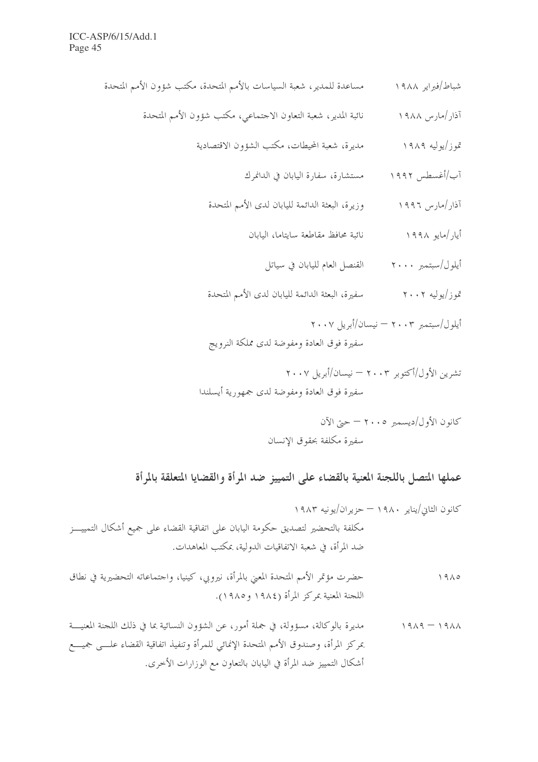- شباط/فبراير ١٩٨٨ مساعدة للمدير، شعبة السياسات بالأمم المتحدة، مكتب شؤون الأمم المتحدة
	- نائبة المدير، شعبة التعاون الاحتماعي، مكتب شؤون الأمم المتحدة آذار/مارس ۱۹۸۸
		- تموز/يوليه ١٩٨٩ مسمع عديرة، شعبة المحيطات، مكتب الشؤون الاقتصادية
			- آب/أغسطس ١٩٩٢ مستشارة، سفارة اليابان في الدانمرك
			- آذار/مارس ١٩٩٦ وزيرة، البعثة الدائمة لليابان لدى الأمم المتحدة
				- نائبة محافظ مقاطعة سايتاما، اليابان أيار /مايو ١٩٩٨
					- أيلول/سبتمبر ٢٠٠٠ القنصل العام لليابان في سياتل
			- تموز/يوليه ٢٠٠٢ سفيرة، البعثة الدائمة لليابان لدى الأمم المتحدة
			- أيلول/سبتمبر ٢٠٠٣ نيسان/أبريل ٢٠٠٧ سفيرة فوق العادة ومفوضة لدى مملكة النرويج
		- تشرين الأول/أكتوبر ٢٠٠٣ نيسان/أبريل ٢٠٠٧ سفيرة فوق العادة ومفوضة لدى جمهورية أيسلندا

عملها المتصل باللجنة المعنية بالقضاء على التمييز ضد المرأة والقضايا المتعلقة بالمرأة